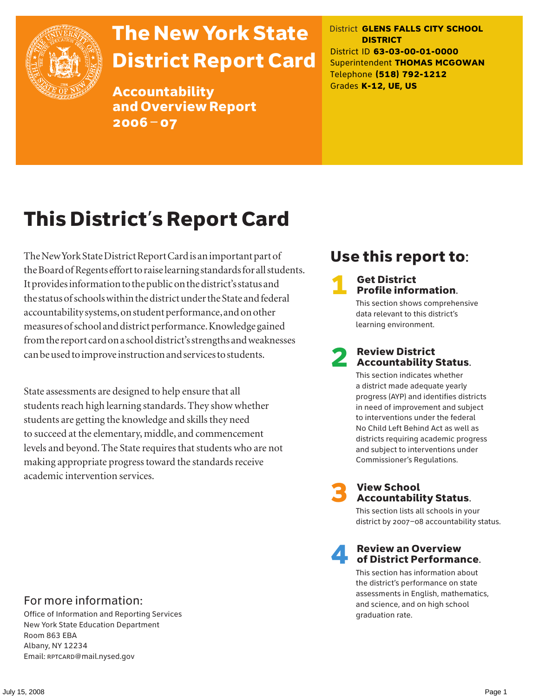

# The New York State District Report Card

Accountability and Overview Report 2006–07

District **GLENS FALLS CITY SCHOOL DISTRICT** District ID **63-03-00-01-0000** Superintendent **THOMAS MCGOWAN** Telephone **(518) 792-1212** Grades **K-12, UE, US**

# This District's Report Card

The New York State District Report Card is an important part of the Board of Regents effort to raise learning standards for all students. It provides information to the public on the district's status and the status of schools within the district under the State and federal accountability systems, on student performance, and on other measures of school and district performance. Knowledge gained from the report card on a school district's strengths and weaknesses can be used to improve instruction and services to students.

State assessments are designed to help ensure that all students reach high learning standards. They show whether students are getting the knowledge and skills they need to succeed at the elementary, middle, and commencement levels and beyond. The State requires that students who are not making appropriate progress toward the standards receive academic intervention services.

## Use this report to:

#### **Get District** Profile information.

This section shows comprehensive data relevant to this district's learning environment.

### **Review District** Accountability Status.

This section indicates whether a district made adequate yearly progress (AYP) and identifies districts in need of improvement and subject to interventions under the federal No Child Left Behind Act as well as districts requiring academic progress and subject to interventions under Commissioner's Regulations.



# **3** View School<br>Accountability Status.

This section lists all schools in your district by 2007–08 accountability status.

#### **Review an Overview** of District Performance.

This section has information about the district's performance on state assessments in English, mathematics, and science, and on high school graduation rate.

### For more information:

Office of Information and Reporting Services New York State Education Department Room 863 EBA Albany, NY 12234 Email: RPTCARD@mail.nysed.gov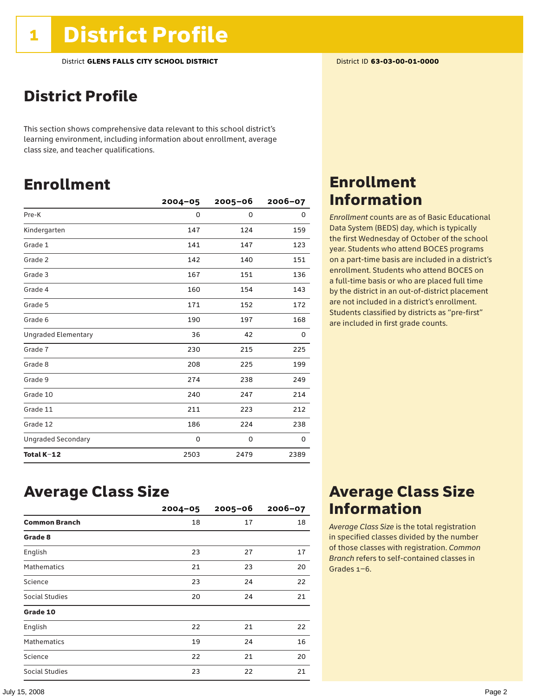### District Profile

This section shows comprehensive data relevant to this school district's learning environment, including information about enrollment, average class size, and teacher qualifications.

### Enrollment

|                            | $2004 - 05$ | $2005 - 06$ | $2006 - 07$ |
|----------------------------|-------------|-------------|-------------|
| Pre-K                      | 0           | $\mathbf 0$ | 0           |
| Kindergarten               | 147         | 124         | 159         |
| Grade 1                    | 141         | 147         | 123         |
| Grade 2                    | 142         | 140         | 151         |
| Grade 3                    | 167         | 151         | 136         |
| Grade 4                    | 160         | 154         | 143         |
| Grade 5                    | 171         | 152         | 172         |
| Grade 6                    | 190         | 197         | 168         |
| <b>Ungraded Elementary</b> | 36          | 42          | 0           |
| Grade 7                    | 230         | 215         | 225         |
| Grade 8                    | 208         | 225         | 199         |
| Grade 9                    | 274         | 238         | 249         |
| Grade 10                   | 240         | 247         | 214         |
| Grade 11                   | 211         | 223         | 212         |
| Grade 12                   | 186         | 224         | 238         |
| <b>Ungraded Secondary</b>  | 0           | 0           | 0           |
| Total K-12                 | 2503        | 2479        | 2389        |

### Enrollment Information

*Enrollment* counts are as of Basic Educational Data System (BEDS) day, which is typically the first Wednesday of October of the school year. Students who attend BOCES programs on a part-time basis are included in a district's enrollment. Students who attend BOCES on a full-time basis or who are placed full time by the district in an out-of-district placement are not included in a district's enrollment. Students classified by districts as "pre-first" are included in first grade counts.

### Average Class Size

|                      | $2004 - 05$ | $2005 - 06$ | $2006 - 07$ |
|----------------------|-------------|-------------|-------------|
| <b>Common Branch</b> | 18          | 17          | 18          |
| Grade 8              |             |             |             |
| English              | 23          | 27          | 17          |
| <b>Mathematics</b>   | 21          | 23          | 20          |
| Science              | 23          | 24          | 22          |
| Social Studies       | 20          | 24          | 21          |
| Grade 10             |             |             |             |
| English              | 22          | 21          | 22          |
| <b>Mathematics</b>   | 19          | 24          | 16          |
| Science              | 22          | 21          | 20          |
| Social Studies       | 23          | 22          | 21          |

### Average Class Size Information

*Average Class Size* is the total registration in specified classes divided by the number of those classes with registration. *Common Branch* refers to self-contained classes in Grades 1–6.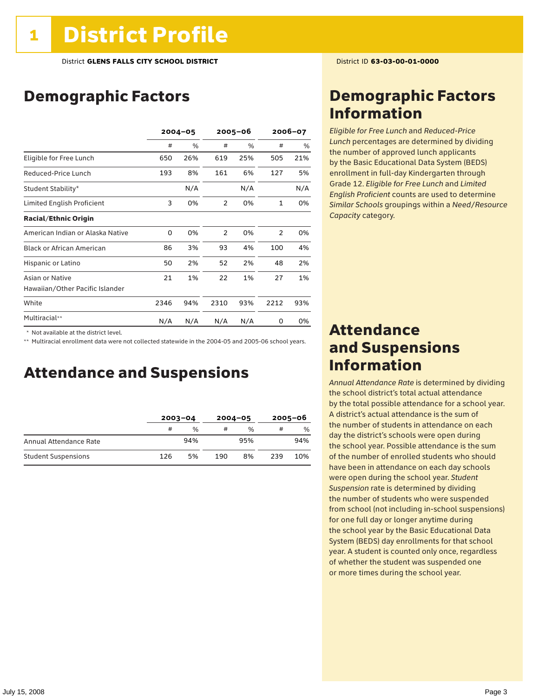### Demographic Factors

|                                  | $2004 - 05$ |     | 2005-06 |      | 2006-07      |     |
|----------------------------------|-------------|-----|---------|------|--------------|-----|
|                                  | #           | %   | #       | $\%$ | #            | %   |
| Eligible for Free Lunch          | 650         | 26% | 619     | 25%  | 505          | 21% |
| Reduced-Price Lunch              | 193         | 8%  | 161     | 6%   | 127          | 5%  |
| Student Stability*               |             | N/A |         | N/A  |              | N/A |
| Limited English Proficient       | 3           | 0%  | 2       | 0%   | $\mathbf{1}$ | 0%  |
| <b>Racial/Ethnic Origin</b>      |             |     |         |      |              |     |
| American Indian or Alaska Native | 0           | 0%  | 2       | 0%   | 2            | 0%  |
| <b>Black or African American</b> | 86          | 3%  | 93      | 4%   | 100          | 4%  |
| Hispanic or Latino               | 50          | 2%  | 52      | 2%   | 48           | 2%  |
| Asian or Native                  | 21          | 1%  | 22      | 1%   | 27           | 1%  |
| Hawaiian/Other Pacific Islander  |             |     |         |      |              |     |
| White                            | 2346        | 94% | 2310    | 93%  | 2212         | 93% |
| Multiracial**                    | N/A         | N/A | N/A     | N/A  | 0            | 0%  |

 \* Not available at the district level.

\*\* Multiracial enrollment data were not collected statewide in the 2004-05 and 2005-06 school years.

### Attendance and Suspensions

|                            | $2003 - 04$ |               | $2004 - 05$ |               | $2005 - 06$ |     |
|----------------------------|-------------|---------------|-------------|---------------|-------------|-----|
|                            | #           | $\frac{0}{0}$ | #           | $\frac{0}{0}$ | #           | %   |
| Annual Attendance Rate     |             | 94%           |             | 95%           |             | 94% |
| <b>Student Suspensions</b> | 126         | 5%            | 190         | 8%            | 239         | 10% |

### Demographic Factors Information

*Eligible for Free Lunch* and *Reduced*-*Price Lunch* percentages are determined by dividing the number of approved lunch applicants by the Basic Educational Data System (BEDS) enrollment in full-day Kindergarten through Grade 12. *Eligible for Free Lunch* and *Limited English Proficient* counts are used to determine *Similar Schools* groupings within a *Need*/*Resource Capacity* category.

### Attendance and Suspensions Information

*Annual Attendance Rate* is determined by dividing the school district's total actual attendance by the total possible attendance for a school year. A district's actual attendance is the sum of the number of students in attendance on each day the district's schools were open during the school year. Possible attendance is the sum of the number of enrolled students who should have been in attendance on each day schools were open during the school year. *Student Suspension* rate is determined by dividing the number of students who were suspended from school (not including in-school suspensions) for one full day or longer anytime during the school year by the Basic Educational Data System (BEDS) day enrollments for that school year. A student is counted only once, regardless of whether the student was suspended one or more times during the school year.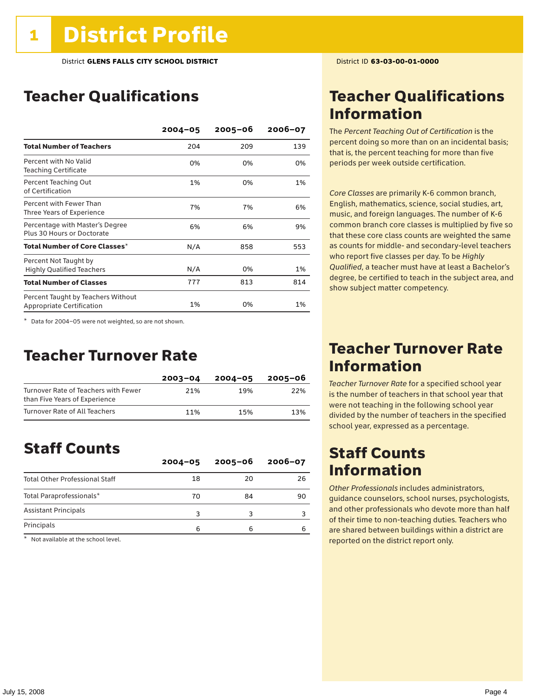### Teacher Qualifications

|                                                                 | $2004 - 05$ | $2005 - 06$ | $2006 - 07$ |
|-----------------------------------------------------------------|-------------|-------------|-------------|
| <b>Total Number of Teachers</b>                                 | 204         | 209         | 139         |
| Percent with No Valid<br><b>Teaching Certificate</b>            | 0%          | 0%          | 0%          |
| Percent Teaching Out<br>of Certification                        | 1%          | 0%          | 1%          |
| Percent with Fewer Than<br>Three Years of Experience            | 7%          | 7%          | 6%          |
| Percentage with Master's Degree<br>Plus 30 Hours or Doctorate   | 6%          | 6%          | 9%          |
| Total Number of Core Classes $^\star$                           | N/A         | 858         | 553         |
| Percent Not Taught by<br><b>Highly Qualified Teachers</b>       | N/A         | 0%          | 1%          |
| <b>Total Number of Classes</b>                                  | 777         | 813         | 814         |
| Percent Taught by Teachers Without<br>Appropriate Certification | 1%          | 0%          | 1%          |

\* Data for 2004–05 were not weighted, so are not shown.

### Teacher Turnover Rate

|                                                                       | $2003 - 04$ | $2004 - 05$ | 2005-06 |
|-----------------------------------------------------------------------|-------------|-------------|---------|
| Turnover Rate of Teachers with Fewer<br>than Five Years of Experience | 21%         | 19%         | 22%     |
| Turnover Rate of All Teachers                                         | 11%         | 15%         | 13%     |

### Staff Counts

|                                       | $2004 - 05$ | $2005 - 06$ | $2006 - 07$ |
|---------------------------------------|-------------|-------------|-------------|
| <b>Total Other Professional Staff</b> | 18          | 20          | 26          |
| Total Paraprofessionals*              | 70          | 84          | 90          |
| <b>Assistant Principals</b>           |             |             |             |
| Principals                            | ี           |             | Б           |

\* Not available at the school level.

### Teacher Qualifications Information

The *Percent Teaching Out of Certification* is the percent doing so more than on an incidental basis; that is, the percent teaching for more than five periods per week outside certification.

*Core Classes* are primarily K-6 common branch, English, mathematics, science, social studies, art, music, and foreign languages. The number of K-6 common branch core classes is multiplied by five so that these core class counts are weighted the same as counts for middle- and secondary-level teachers who report five classes per day. To be *Highly Qualified*, a teacher must have at least a Bachelor's degree, be certified to teach in the subject area, and show subject matter competency.

### Teacher Turnover Rate Information

*Teacher Turnover Rate* for a specified school year is the number of teachers in that school year that were not teaching in the following school year divided by the number of teachers in the specified school year, expressed as a percentage.

### Staff Counts Information

*Other Professionals* includes administrators, guidance counselors, school nurses, psychologists, and other professionals who devote more than half of their time to non-teaching duties. Teachers who are shared between buildings within a district are reported on the district report only.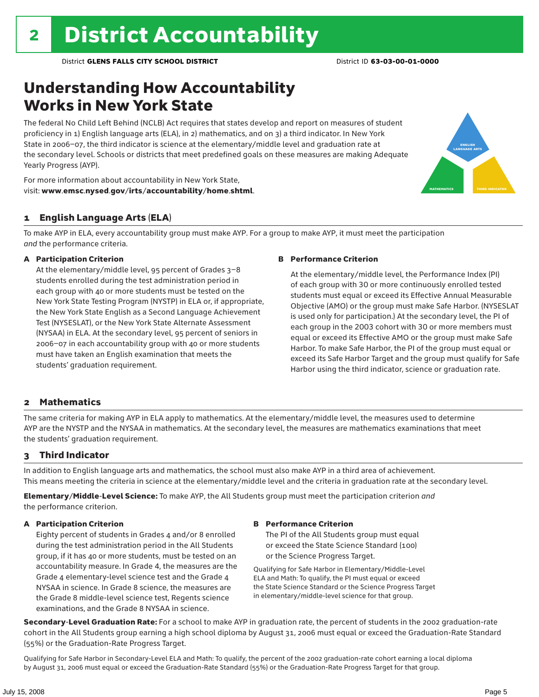### Understanding How Accountability Works in New York State

The federal No Child Left Behind (NCLB) Act requires that states develop and report on measures of student proficiency in 1) English language arts (ELA), in 2) mathematics, and on 3) a third indicator. In New York State in 2006–07, the third indicator is science at the elementary/middle level and graduation rate at the secondary level. Schools or districts that meet predefined goals on these measures are making Adequate Yearly Progress (AYP).



For more information about accountability in New York State, visit: www.emsc.nysed.gov/irts/accountability/home.shtml.

#### 1 English Language Arts (ELA)

To make AYP in ELA, every accountability group must make AYP. For a group to make AYP, it must meet the participation *and* the performance criteria.

#### A Participation Criterion

At the elementary/middle level, 95 percent of Grades 3–8 students enrolled during the test administration period in each group with 40 or more students must be tested on the New York State Testing Program (NYSTP) in ELA or, if appropriate, the New York State English as a Second Language Achievement Test (NYSESLAT), or the New York State Alternate Assessment (NYSAA) in ELA. At the secondary level, 95 percent of seniors in 2006–07 in each accountability group with 40 or more students must have taken an English examination that meets the students' graduation requirement.

#### B Performance Criterion

At the elementary/middle level, the Performance Index (PI) of each group with 30 or more continuously enrolled tested students must equal or exceed its Effective Annual Measurable Objective (AMO) or the group must make Safe Harbor. (NYSESLAT is used only for participation.) At the secondary level, the PI of each group in the 2003 cohort with 30 or more members must equal or exceed its Effective AMO or the group must make Safe Harbor. To make Safe Harbor, the PI of the group must equal or exceed its Safe Harbor Target and the group must qualify for Safe Harbor using the third indicator, science or graduation rate.

#### 2 Mathematics

The same criteria for making AYP in ELA apply to mathematics. At the elementary/middle level, the measures used to determine AYP are the NYSTP and the NYSAA in mathematics. At the secondary level, the measures are mathematics examinations that meet the students' graduation requirement.

#### 3 Third Indicator

In addition to English language arts and mathematics, the school must also make AYP in a third area of achievement. This means meeting the criteria in science at the elementary/middle level and the criteria in graduation rate at the secondary level.

Elementary/Middle-Level Science: To make AYP, the All Students group must meet the participation criterion *and* the performance criterion.

#### A Participation Criterion

Eighty percent of students in Grades 4 and/or 8 enrolled during the test administration period in the All Students group, if it has 40 or more students, must be tested on an accountability measure. In Grade 4, the measures are the Grade 4 elementary-level science test and the Grade 4 NYSAA in science. In Grade 8 science, the measures are the Grade 8 middle-level science test, Regents science examinations, and the Grade 8 NYSAA in science.

#### B Performance Criterion

The PI of the All Students group must equal or exceed the State Science Standard (100) or the Science Progress Target.

Qualifying for Safe Harbor in Elementary/Middle-Level ELA and Math: To qualify, the PI must equal or exceed the State Science Standard or the Science Progress Target in elementary/middle-level science for that group.

Secondary-Level Graduation Rate: For a school to make AYP in graduation rate, the percent of students in the 2002 graduation-rate cohort in the All Students group earning a high school diploma by August 31, 2006 must equal or exceed the Graduation-Rate Standard (55%) or the Graduation-Rate Progress Target.

Qualifying for Safe Harbor in Secondary-Level ELA and Math: To qualify, the percent of the 2002 graduation-rate cohort earning a local diploma by August 31, 2006 must equal or exceed the Graduation-Rate Standard (55%) or the Graduation-Rate Progress Target for that group.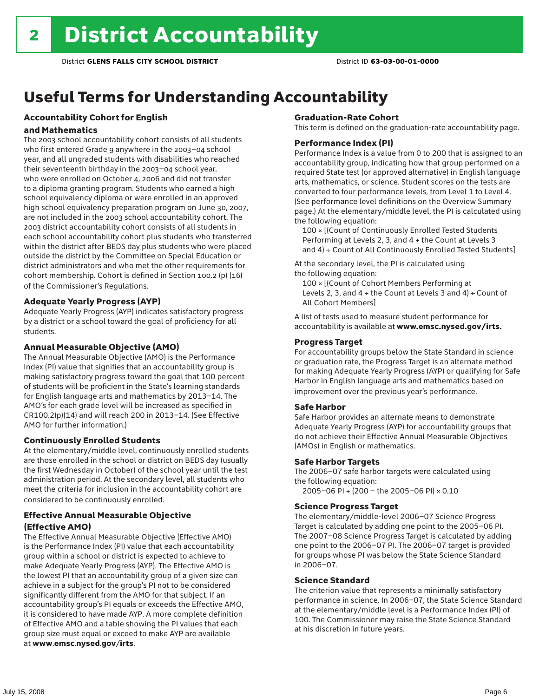## Useful Terms for Understanding Accountability

### Accountability Cohort for English

#### and Mathematics

The 2003 school accountability cohort consists of all students who first entered Grade 9 anywhere in the 2003–04 school year, and all ungraded students with disabilities who reached their seventeenth birthday in the 2003–04 school year, who were enrolled on October 4, 2006 and did not transfer to a diploma granting program. Students who earned a high school equivalency diploma or were enrolled in an approved high school equivalency preparation program on June 30, 2007, are not included in the 2003 school accountability cohort. The 2003 district accountability cohort consists of all students in each school accountability cohort plus students who transferred within the district after BEDS day plus students who were placed outside the district by the Committee on Special Education or district administrators and who met the other requirements for cohort membership. Cohort is defined in Section 100.2 (p) (16) of the Commissioner's Regulations.

#### Adequate Yearly Progress (AYP)

Adequate Yearly Progress (AYP) indicates satisfactory progress by a district or a school toward the goal of proficiency for all students.

#### Annual Measurable Objective (AMO)

The Annual Measurable Objective (AMO) is the Performance Index (PI) value that signifies that an accountability group is making satisfactory progress toward the goal that 100 percent of students will be proficient in the State's learning standards for English language arts and mathematics by 2013–14. The AMO's for each grade level will be increased as specified in CR100.2(p)(14) and will reach 200 in 2013–14. (See Effective AMO for further information.)

#### Continuously Enrolled Students

At the elementary/middle level, continuously enrolled students are those enrolled in the school or district on BEDS day (usually the first Wednesday in October) of the school year until the test administration period. At the secondary level, all students who meet the criteria for inclusion in the accountability cohort are considered to be continuously enrolled.

#### Effective Annual Measurable Objective (Effective AMO)

The Effective Annual Measurable Objective (Effective AMO) is the Performance Index (PI) value that each accountability group within a school or district is expected to achieve to make Adequate Yearly Progress (AYP). The Effective AMO is the lowest PI that an accountability group of a given size can achieve in a subject for the group's PI not to be considered significantly different from the AMO for that subject. If an accountability group's PI equals or exceeds the Effective AMO, it is considered to have made AYP. A more complete definition of Effective AMO and a table showing the PI values that each group size must equal or exceed to make AYP are available at www.emsc.nysed.gov/irts.

#### Graduation-Rate Cohort

This term is defined on the graduation-rate accountability page.

#### Performance Index (PI)

Performance Index is a value from 0 to 200 that is assigned to an accountability group, indicating how that group performed on a required State test (or approved alternative) in English language arts, mathematics, or science. Student scores on the tests are converted to four performance levels, from Level 1 to Level 4. (See performance level definitions on the Overview Summary page.) At the elementary/middle level, the PI is calculated using the following equation:

100 × [(Count of Continuously Enrolled Tested Students Performing at Levels 2, 3, and 4 + the Count at Levels 3 and 4) ÷ Count of All Continuously Enrolled Tested Students]

At the secondary level, the PI is calculated using the following equation:

100 × [(Count of Cohort Members Performing at Levels 2, 3, and  $4 +$  the Count at Levels 3 and  $4) \div$  Count of All Cohort Members]

A list of tests used to measure student performance for accountability is available at www.emsc.nysed.gov/irts.

#### Progress Target

For accountability groups below the State Standard in science or graduation rate, the Progress Target is an alternate method for making Adequate Yearly Progress (AYP) or qualifying for Safe Harbor in English language arts and mathematics based on improvement over the previous year's performance.

#### Safe Harbor

Safe Harbor provides an alternate means to demonstrate Adequate Yearly Progress (AYP) for accountability groups that do not achieve their Effective Annual Measurable Objectives (AMOs) in English or mathematics.

#### Safe Harbor Targets

The 2006–07 safe harbor targets were calculated using the following equation:

2005–06 PI + (200 – the 2005–06 PI) × 0.10

#### Science Progress Target

The elementary/middle-level 2006–07 Science Progress Target is calculated by adding one point to the 2005–06 PI. The 2007–08 Science Progress Target is calculated by adding one point to the 2006–07 PI. The 2006–07 target is provided for groups whose PI was below the State Science Standard in 2006–07.

#### Science Standard

The criterion value that represents a minimally satisfactory performance in science. In 2006–07, the State Science Standard at the elementary/middle level is a Performance Index (PI) of 100. The Commissioner may raise the State Science Standard at his discretion in future years.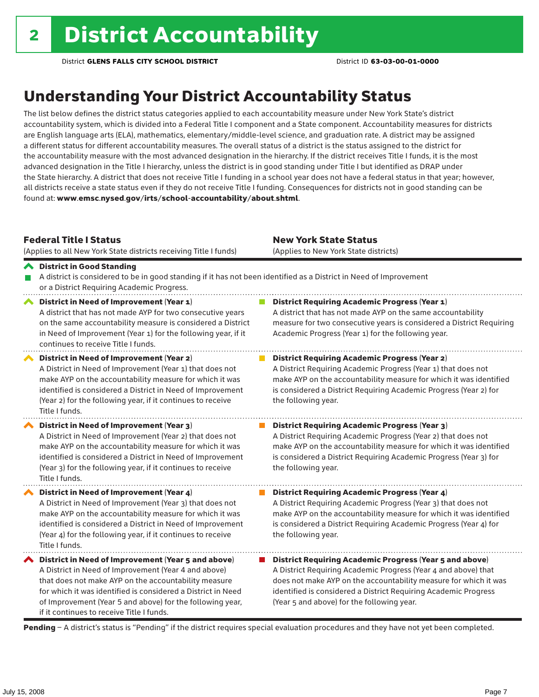### Understanding Your District Accountability Status

The list below defines the district status categories applied to each accountability measure under New York State's district accountability system, which is divided into a Federal Title I component and a State component. Accountability measures for districts are English language arts (ELA), mathematics, elementary/middle-level science, and graduation rate. A district may be assigned a different status for different accountability measures. The overall status of a district is the status assigned to the district for the accountability measure with the most advanced designation in the hierarchy. If the district receives Title I funds, it is the most advanced designation in the Title I hierarchy, unless the district is in good standing under Title I but identified as DRAP under the State hierarchy. A district that does not receive Title I funding in a school year does not have a federal status in that year; however, all districts receive a state status even if they do not receive Title I funding. Consequences for districts not in good standing can be found at: www.emsc.nysed.gov/irts/school-accountability/about.shtml.

#### Federal Title I Status

District in Good Standing

(Applies to all New York State districts receiving Title I funds)

New York State Status (Applies to New York State districts)

**District Requiring Academic Progress (Year 2)** 

#### A district is considered to be in good standing if it has not been identified as a District in Need of Improvement or a District Requiring Academic Progress. ◆ District in Need of Improvement (Year 1) **District Requiring Academic Progress (Year 1)** A district that has not made AYP for two consecutive years A district that has not made AYP on the same accountability on the same accountability measure is considered a District measure for two consecutive years is considered a District Requiring in Need of Improvement (Year 1) for the following year, if it Academic Progress (Year 1) for the following year. continues to receive Title I funds.

District in Need of Improvement (Year 2) A District in Need of Improvement (Year 1) that does not make AYP on the accountability measure for which it was identified is considered a District in Need of Improvement (Year 2) for the following year, if it continues to receive Title I funds.

District in Need of Improvement (Year 3) A District in Need of Improvement (Year 2) that does not make AYP on the accountability measure for which it was identified is considered a District in Need of Improvement (Year 3) for the following year, if it continues to receive Title I funds.

◆ District in Need of Improvement (Year 4) A District in Need of Improvement (Year 3) that does not make AYP on the accountability measure for which it was identified is considered a District in Need of Improvement (Year 4) for the following year, if it continues to receive Title I funds.

 $\blacktriangle$  District in Need of Improvement (Year 5 and above) A District in Need of Improvement (Year 4 and above) that does not make AYP on the accountability measure for which it was identified is considered a District in Need of Improvement (Year 5 and above) for the following year, if it continues to receive Title I funds.

the following year. District Requiring Academic Progress (Year 3) A District Requiring Academic Progress (Year 2) that does not

A District Requiring Academic Progress (Year 1) that does not make AYP on the accountability measure for which it was identified is considered a District Requiring Academic Progress (Year 2) for

make AYP on the accountability measure for which it was identified is considered a District Requiring Academic Progress (Year 3) for the following year.

**District Requiring Academic Progress (Year 4)** A District Requiring Academic Progress (Year 3) that does not make AYP on the accountability measure for which it was identified is considered a District Requiring Academic Progress (Year 4) for the following year.

■ District Requiring Academic Progress (Year 5 and above) A District Requiring Academic Progress (Year 4 and above) that does not make AYP on the accountability measure for which it was identified is considered a District Requiring Academic Progress (Year 5 and above) for the following year.

Pending - A district's status is "Pending" if the district requires special evaluation procedures and they have not yet been completed.

 $\mathcal{L}_{\mathcal{A}}$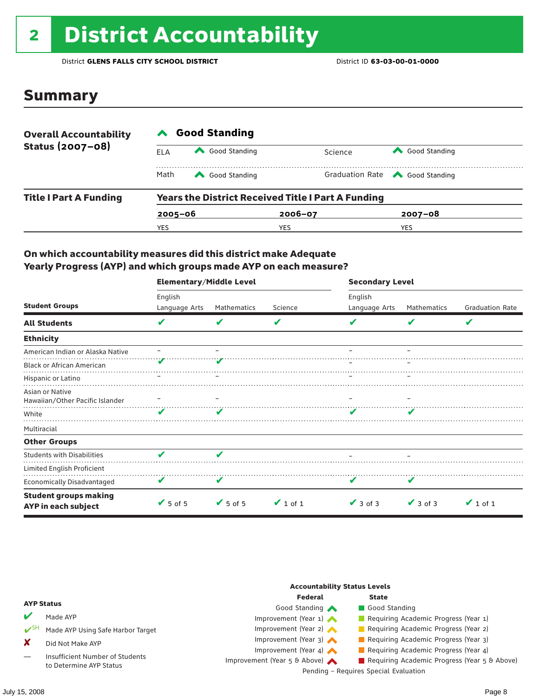# <sup>2</sup> District Accountability

District **GLENS FALLS CITY SCHOOL DISTRICT** District ID **63-03-00-01-0000**

### Summary

| <b>Overall Accountability</b><br>Status (2007-08) | <b>Good Standing</b> |                                                           |             |         |                                       |  |  |
|---------------------------------------------------|----------------------|-----------------------------------------------------------|-------------|---------|---------------------------------------|--|--|
|                                                   | ELA                  | Good Standing                                             |             | Science | Good Standing                         |  |  |
|                                                   | Math                 | Good Standing                                             |             |         | Graduation Rate <a> Good Standing</a> |  |  |
| <b>Title I Part A Funding</b>                     |                      | <b>Years the District Received Title I Part A Funding</b> |             |         |                                       |  |  |
|                                                   | $2005 - 06$          |                                                           | $2006 - 07$ |         | $2007 - 08$                           |  |  |
|                                                   | YES                  |                                                           | YES         |         | <b>YES</b>                            |  |  |

#### On which accountability measures did this district make Adequate Yearly Progress (AYP) and which groups made AYP on each measure?

|                                                     | <b>Elementary/Middle Level</b> |                 |               | <b>Secondary Level</b> |               |                        |  |
|-----------------------------------------------------|--------------------------------|-----------------|---------------|------------------------|---------------|------------------------|--|
|                                                     | English                        |                 |               | English                |               |                        |  |
| <b>Student Groups</b>                               | Language Arts                  | Mathematics     | Science       | Language Arts          | Mathematics   | <b>Graduation Rate</b> |  |
| <b>All Students</b>                                 | V                              |                 | V             |                        | v             | V                      |  |
| <b>Ethnicity</b>                                    |                                |                 |               |                        |               |                        |  |
| American Indian or Alaska Native                    |                                |                 |               |                        |               |                        |  |
| <b>Black or African American</b>                    |                                |                 |               |                        |               |                        |  |
| Hispanic or Latino                                  |                                |                 |               |                        |               |                        |  |
| Asian or Native<br>Hawaiian/Other Pacific Islander  |                                |                 |               |                        |               |                        |  |
| White                                               |                                |                 |               |                        |               |                        |  |
| Multiracial                                         |                                |                 |               |                        |               |                        |  |
| <b>Other Groups</b>                                 |                                |                 |               |                        |               |                        |  |
| <b>Students with Disabilities</b>                   | v                              | v               |               |                        |               |                        |  |
| Limited English Proficient                          |                                |                 |               |                        |               |                        |  |
| <b>Economically Disadvantaged</b>                   | V                              | V               |               |                        |               |                        |  |
| <b>Student groups making</b><br>AYP in each subject | $\sqrt{5}$ of 5                | $\sqrt{5}$ of 5 | $\vee$ 1 of 1 | $\vee$ 3 of 3          | $\vee$ 3 of 3 | $\vee$ 1 of 1          |  |

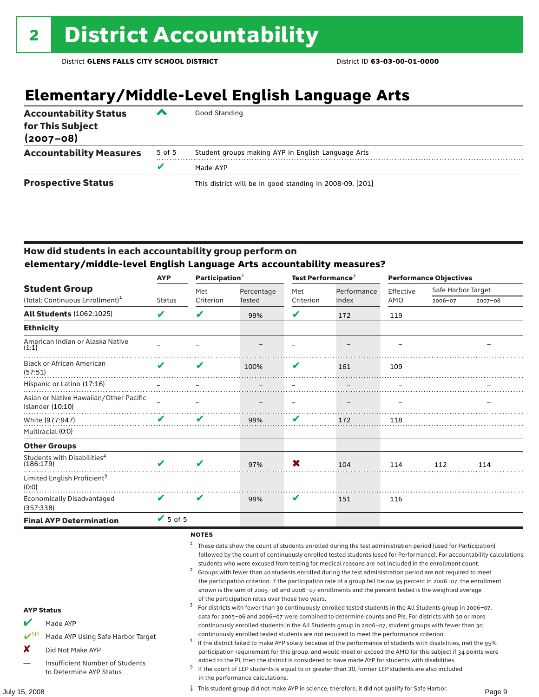### **Elementary/Middle-Level English Language Arts**

| <b>Accountability Status</b><br>for This Subject<br>$(2007 - 08)$ | ▰      | Good Standing                                            |
|-------------------------------------------------------------------|--------|----------------------------------------------------------|
| <b>Accountability Measures</b>                                    | 5 of 5 | Student groups making AYP in English Language Arts       |
|                                                                   | v      | Made AYP                                                 |
| <b>Prospective Status</b>                                         |        | This district will be in good standing in 2008-09. [201] |

#### How did students in each accountability group perform on **elementary/middle-level English Language Arts accountability measures?**

|                                                            | Participation $2$<br><b>AYP</b> |           | Test Performance <sup>3</sup> |           |             | <b>Performance Objectives</b> |                    |             |
|------------------------------------------------------------|---------------------------------|-----------|-------------------------------|-----------|-------------|-------------------------------|--------------------|-------------|
| <b>Student Group</b>                                       |                                 | Met       | Percentage                    | Met       | Performance | Effective                     | Safe Harbor Target |             |
| (Total: Continuous Enrollment) <sup>1</sup>                | <b>Status</b>                   | Criterion | Tested                        | Criterion | Index       | AMO                           | 2006-07            | $2007 - 08$ |
| <b>All Students (1062:1025)</b>                            | V                               | V         | 99%                           | V         | 172         | 119                           |                    |             |
| <b>Ethnicity</b>                                           |                                 |           |                               |           |             |                               |                    |             |
| American Indian or Alaska Native<br>(1:1)                  |                                 |           |                               |           |             |                               |                    |             |
| <b>Black or African American</b><br>(57:51)                | ✔                               | V         | 100%                          | V         | 161         | 109                           |                    |             |
| Hispanic or Latino (17:16)                                 |                                 |           |                               |           |             |                               |                    |             |
| Asian or Native Hawaiian/Other Pacific<br>Islander (10:10) |                                 |           |                               |           |             |                               |                    |             |
| White (977:947)                                            | ✔                               | V         | 99%                           | V         | 172         | 118                           |                    |             |
| Multiracial (0:0)                                          |                                 |           |                               |           |             |                               |                    |             |
| <b>Other Groups</b>                                        |                                 |           |                               |           |             |                               |                    |             |
| Students with Disabilities <sup>4</sup><br>(186:179)       | ✔                               | ✔         | 97%                           | X         | 104         | 114                           | 112                | 114         |
| Limited English Proficient <sup>5</sup><br>(0:0)           |                                 |           |                               |           |             |                               |                    |             |
| <b>Economically Disadvantaged</b><br>(357:338)             | V                               | V         | 99%                           | V         | 151         | 116                           |                    |             |
| <b>Final AYP Determination</b>                             | $\sqrt{5}$ of 5                 |           |                               |           |             |                               |                    |             |

#### **NOTES**

<sup>1</sup> These data show the count of students enrolled during the test administration period (used for Participation) followed by the count of continuously enrolled tested students (used for Performance). For accountability calculations,

- students who were excused from testing for medical reasons are not included in the enrollment count.<br>2 Groups with fewer than 40 students enrolled during the test administration period are not required to meet the participation criterion. If the participation rate of a group fell below 95 percent in 2006–07, the enrollment shown is the sum of 2005–06 and 2006–07 enrollments and the percent tested is the weighted average
- of the participation rates over those two years.<br><sup>3</sup> For districts with fewer than 30 continuously enrolled tested students in the All Students group in 2006–07, data for 2005–06 and 2006–07 were combined to determine counts and PIs. For districts with 30 or more continuously enrolled students in the All Students group in 2006–07, student groups with fewer than 30
- continuously enrolled tested students are not required to meet the performance criterion. <sup>4</sup> If the district failed to make AYP solely because of the performance of students with disabilities, met the 95% participation requirement for this group, and would meet or exceed the AMO for this subject if 34 points were
- added to the PI, then the district is considered to have made AYP for students with disabilities.<br><sup>5</sup> If the count of LEP students is equal to or greater than 30, former LEP students are also included in the performance calculations.

AYP Status

Made AYP

X Did Not Make AYP

✔SH Made AYP Using Safe Harbor Target

Insufficient Number of Students to Determine AYP Status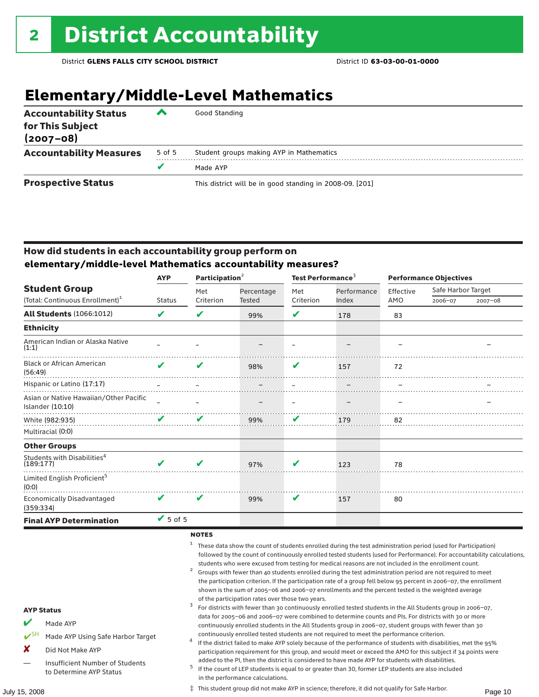## **Elementary/Middle-Level Mathematics**

| <b>Accountability Status</b><br>for This Subject<br>$(2007 - 08)$ | ▰      | Good Standing                                            |
|-------------------------------------------------------------------|--------|----------------------------------------------------------|
| <b>Accountability Measures</b>                                    | 5 of 5 | Student groups making AYP in Mathematics                 |
|                                                                   | v      | Made AYP                                                 |
| <b>Prospective Status</b>                                         |        | This district will be in good standing in 2008-09. [201] |

#### How did students in each accountability group perform on **elementary/middle-level Mathematics accountability measures?**

|                                                              | <b>AYP</b>                 | Participation <sup>2</sup> |            | Test Performance <sup>3</sup> |             | <b>Performance Objectives</b> |                    |             |
|--------------------------------------------------------------|----------------------------|----------------------------|------------|-------------------------------|-------------|-------------------------------|--------------------|-------------|
| <b>Student Group</b>                                         |                            | Met                        | Percentage | Met                           | Performance | Effective                     | Safe Harbor Target |             |
| (Total: Continuous Enrollment) <sup>1</sup>                  | <b>Status</b>              | Criterion                  | Tested     | Criterion                     | Index       | AMO                           | 2006-07            | $2007 - 08$ |
| <b>All Students (1066:1012)</b>                              | V                          | V                          | 99%        | V                             | 178         | 83                            |                    |             |
| <b>Ethnicity</b>                                             |                            |                            |            |                               |             |                               |                    |             |
| American Indian or Alaska Native<br>(1:1)                    |                            |                            |            |                               |             |                               |                    |             |
| <b>Black or African American</b><br>(56:49)                  | ✔                          | V                          | 98%        | V                             | 157         | 72                            |                    |             |
| Hispanic or Latino (17:17)                                   |                            |                            |            |                               |             |                               |                    |             |
| Asian or Native Hawaiian/Other Pacific<br>Islander $(10:10)$ |                            |                            |            |                               |             |                               |                    |             |
| White (982:935)                                              | $\mathbf{v}$               |                            | 99%        | V                             | 179         | 82                            |                    |             |
| Multiracial (0:0)                                            |                            |                            |            |                               |             |                               |                    |             |
| <b>Other Groups</b>                                          |                            |                            |            |                               |             |                               |                    |             |
| Students with Disabilities <sup>4</sup><br>(189:177)         | $\boldsymbol{\nu}$         | V                          | 97%        | V                             | 123         | 78                            |                    |             |
| Limited English Proficient <sup>5</sup><br>(0:0)             |                            |                            |            |                               |             |                               |                    |             |
| <b>Economically Disadvantaged</b><br>(359:334)               | $\boldsymbol{\mathcal{U}}$ | $\boldsymbol{\mathcal{L}}$ | 99%        | V                             | 157         | 80                            |                    |             |
| <b>Final AYP Determination</b>                               | $V$ 5 of 5                 |                            |            |                               |             |                               |                    |             |

#### **NOTES**

<sup>1</sup> These data show the count of students enrolled during the test administration period (used for Participation) followed by the count of continuously enrolled tested students (used for Performance). For accountability calculations,

- students who were excused from testing for medical reasons are not included in the enrollment count.<br>2 Groups with fewer than 40 students enrolled during the test administration period are not required to meet the participation criterion. If the participation rate of a group fell below 95 percent in 2006–07, the enrollment shown is the sum of 2005–06 and 2006–07 enrollments and the percent tested is the weighted average
- of the participation rates over those two years.<br><sup>3</sup> For districts with fewer than 30 continuously enrolled tested students in the All Students group in 2006–07, data for 2005–06 and 2006–07 were combined to determine counts and PIs. For districts with 30 or more continuously enrolled students in the All Students group in 2006–07, student groups with fewer than 30
- continuously enrolled tested students are not required to meet the performance criterion. <sup>4</sup> If the district failed to make AYP solely because of the performance of students with disabilities, met the 95% participation requirement for this group, and would meet or exceed the AMO for this subject if 34 points were
- added to the PI, then the district is considered to have made AYP for students with disabilities.<br><sup>5</sup> If the count of LEP students is equal to or greater than 30, former LEP students are also included in the performance calculations.

AYP Status

Made AYP

X Did Not Make AYP

✔SH Made AYP Using Safe Harbor Target

Insufficient Number of Students

July 15, 2008 Page 10 ‡ This student group did not make AYP in science; therefore, it did not qualify for Safe Harbor.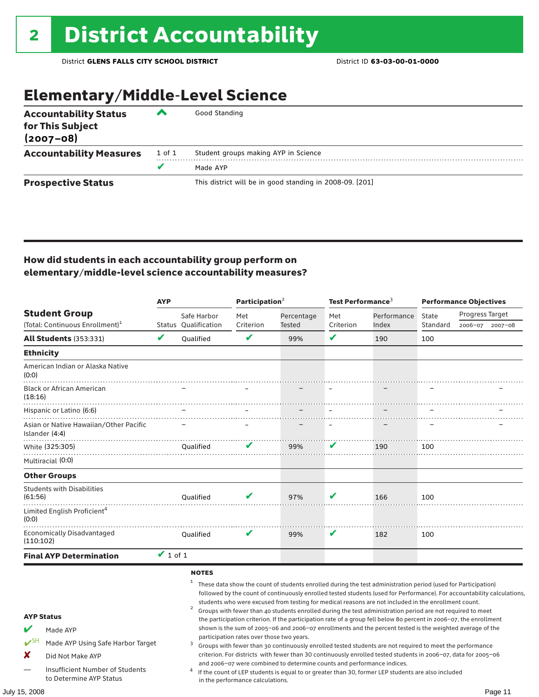### Elementary/Middle-Level Science

| <b>Accountability Status</b><br>for This Subject<br>$(2007 - 08)$ | ◚      | Good Standing                                            |
|-------------------------------------------------------------------|--------|----------------------------------------------------------|
| <b>Accountability Measures</b>                                    | 1 of 1 | Student groups making AYP in Science                     |
|                                                                   | v      | Made AYP                                                 |
| <b>Prospective Status</b>                                         |        | This district will be in good standing in 2008-09. [201] |

#### How did students in each accountability group perform on elementary/middle-level science accountability measures?

|                                                                                                                                                                              | <b>AYP</b>    |                                                        | Participation <sup>2</sup>                                                    |                                                                        | Test Performance $^3$ |                                                                                                                                                                                                                                                                                                                                                                                                                                                                                                                                                                                                                                                                                                                                                                                                                                                                                                                                                                                                                                       | <b>Performance Objectives</b> |                 |             |
|------------------------------------------------------------------------------------------------------------------------------------------------------------------------------|---------------|--------------------------------------------------------|-------------------------------------------------------------------------------|------------------------------------------------------------------------|-----------------------|---------------------------------------------------------------------------------------------------------------------------------------------------------------------------------------------------------------------------------------------------------------------------------------------------------------------------------------------------------------------------------------------------------------------------------------------------------------------------------------------------------------------------------------------------------------------------------------------------------------------------------------------------------------------------------------------------------------------------------------------------------------------------------------------------------------------------------------------------------------------------------------------------------------------------------------------------------------------------------------------------------------------------------------|-------------------------------|-----------------|-------------|
| <b>Student Group</b>                                                                                                                                                         |               | Safe Harbor                                            | Met                                                                           | Percentage                                                             | Met                   | Performance                                                                                                                                                                                                                                                                                                                                                                                                                                                                                                                                                                                                                                                                                                                                                                                                                                                                                                                                                                                                                           | State                         | Progress Target |             |
| (Total: Continuous Enrollment) <sup>1</sup>                                                                                                                                  |               | Status Oualification                                   | Criterion                                                                     | Tested                                                                 | Criterion             | Index                                                                                                                                                                                                                                                                                                                                                                                                                                                                                                                                                                                                                                                                                                                                                                                                                                                                                                                                                                                                                                 | Standard                      | 2006-07         | $2007 - 08$ |
| <b>All Students (353:331)</b>                                                                                                                                                | V             | Qualified                                              | V                                                                             | 99%                                                                    | V                     | 190                                                                                                                                                                                                                                                                                                                                                                                                                                                                                                                                                                                                                                                                                                                                                                                                                                                                                                                                                                                                                                   | 100                           |                 |             |
| <b>Ethnicity</b>                                                                                                                                                             |               |                                                        |                                                                               |                                                                        |                       |                                                                                                                                                                                                                                                                                                                                                                                                                                                                                                                                                                                                                                                                                                                                                                                                                                                                                                                                                                                                                                       |                               |                 |             |
| American Indian or Alaska Native<br>(0:0)                                                                                                                                    |               |                                                        |                                                                               |                                                                        |                       |                                                                                                                                                                                                                                                                                                                                                                                                                                                                                                                                                                                                                                                                                                                                                                                                                                                                                                                                                                                                                                       |                               |                 |             |
| <b>Black or African American</b><br>(18:16)                                                                                                                                  |               |                                                        |                                                                               |                                                                        |                       |                                                                                                                                                                                                                                                                                                                                                                                                                                                                                                                                                                                                                                                                                                                                                                                                                                                                                                                                                                                                                                       |                               |                 |             |
| Hispanic or Latino (6:6)                                                                                                                                                     |               |                                                        |                                                                               |                                                                        |                       |                                                                                                                                                                                                                                                                                                                                                                                                                                                                                                                                                                                                                                                                                                                                                                                                                                                                                                                                                                                                                                       |                               |                 |             |
| Asian or Native Hawaiian/Other Pacific<br>Islander (4:4)                                                                                                                     |               |                                                        |                                                                               |                                                                        |                       |                                                                                                                                                                                                                                                                                                                                                                                                                                                                                                                                                                                                                                                                                                                                                                                                                                                                                                                                                                                                                                       |                               |                 |             |
| White (325:305)                                                                                                                                                              |               | Oualified                                              | v                                                                             | 99%                                                                    | ✔                     | 190                                                                                                                                                                                                                                                                                                                                                                                                                                                                                                                                                                                                                                                                                                                                                                                                                                                                                                                                                                                                                                   | 100                           |                 |             |
| Multiracial (0:0)                                                                                                                                                            |               |                                                        |                                                                               |                                                                        |                       |                                                                                                                                                                                                                                                                                                                                                                                                                                                                                                                                                                                                                                                                                                                                                                                                                                                                                                                                                                                                                                       |                               |                 |             |
| <b>Other Groups</b>                                                                                                                                                          |               |                                                        |                                                                               |                                                                        |                       |                                                                                                                                                                                                                                                                                                                                                                                                                                                                                                                                                                                                                                                                                                                                                                                                                                                                                                                                                                                                                                       |                               |                 |             |
| <b>Students with Disabilities</b><br>(61:56)                                                                                                                                 |               | Oualified                                              |                                                                               | 97%                                                                    |                       | 166                                                                                                                                                                                                                                                                                                                                                                                                                                                                                                                                                                                                                                                                                                                                                                                                                                                                                                                                                                                                                                   | 100                           |                 |             |
| Limited English Proficient <sup>4</sup><br>(0:0)                                                                                                                             |               |                                                        |                                                                               |                                                                        |                       |                                                                                                                                                                                                                                                                                                                                                                                                                                                                                                                                                                                                                                                                                                                                                                                                                                                                                                                                                                                                                                       |                               |                 |             |
| <b>Economically Disadvantaged</b><br>(110:102)                                                                                                                               |               | Qualified                                              | V                                                                             | 99%                                                                    | V                     | 182                                                                                                                                                                                                                                                                                                                                                                                                                                                                                                                                                                                                                                                                                                                                                                                                                                                                                                                                                                                                                                   | 100                           |                 |             |
| <b>Final AYP Determination</b>                                                                                                                                               | $\vee$ 1 of 1 |                                                        |                                                                               |                                                                        |                       |                                                                                                                                                                                                                                                                                                                                                                                                                                                                                                                                                                                                                                                                                                                                                                                                                                                                                                                                                                                                                                       |                               |                 |             |
| <b>AYP Status</b><br>Made AYP<br>$V^{\text{SH}}$<br>Made AYP Using Safe Harbor Target<br>X<br>Did Not Make AYP<br>Insufficient Number of Students<br>to Determine AYP Status |               | <b>NOTES</b><br>1<br>$\overline{\mathbf{c}}$<br>3<br>4 | participation rates over those two years.<br>in the performance calculations. | and 2006-07 were combined to determine counts and performance indices. |                       | These data show the count of students enrolled during the test administration period (used for Participation)<br>followed by the count of continuously enrolled tested students (used for Performance). For accountability calculations,<br>students who were excused from testing for medical reasons are not included in the enrollment count.<br>Groups with fewer than 40 students enrolled during the test administration period are not required to meet<br>the participation criterion. If the participation rate of a group fell below 80 percent in 2006-07, the enrollment<br>shown is the sum of 2005-06 and 2006-07 enrollments and the percent tested is the weighted average of the<br>Groups with fewer than 30 continuously enrolled tested students are not required to meet the performance<br>criterion. For districts with fewer than 30 continuously enrolled tested students in 2006-07, data for 2005-06<br>If the count of LEP students is equal to or greater than 30, former LEP students are also included |                               |                 |             |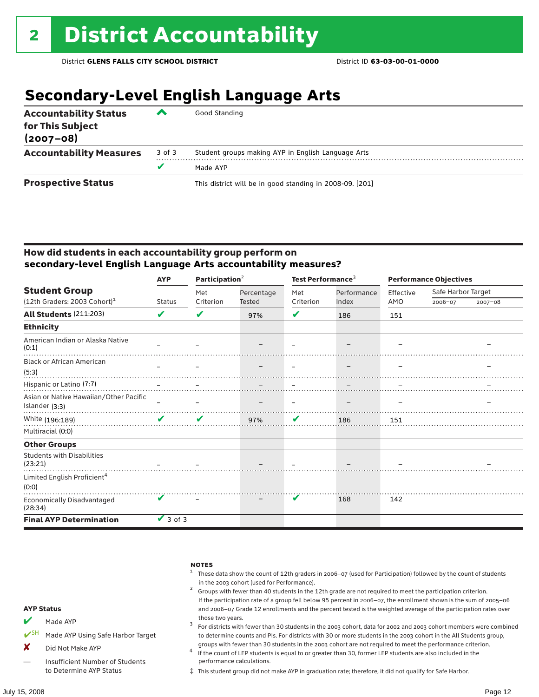### **Secondary-Level English Language Arts**

| <b>Accountability Status</b><br>for This Subject<br>$(2007 - 08)$ | ▰      | Good Standing                                            |
|-------------------------------------------------------------------|--------|----------------------------------------------------------|
| <b>Accountability Measures</b>                                    | 3 of 3 | Student groups making AYP in English Language Arts       |
|                                                                   |        | Made AYP                                                 |
| <b>Prospective Status</b>                                         |        | This district will be in good standing in 2008-09. [201] |

#### How did students in each accountability group perform on **secondary-level English Language Arts accountability measures?**

|                                                                                                                                                                                                                                 | <b>AYP</b>                 | Participation $2$ |               | Test Performance <sup>3</sup> |             | <b>Performance Objectives</b> |                    |             |
|---------------------------------------------------------------------------------------------------------------------------------------------------------------------------------------------------------------------------------|----------------------------|-------------------|---------------|-------------------------------|-------------|-------------------------------|--------------------|-------------|
| <b>Student Group</b>                                                                                                                                                                                                            |                            | Met               | Percentage    | Met                           | Performance | Effective                     | Safe Harbor Target |             |
| $(12th$ Graders: 2003 Cohort) <sup>1</sup>                                                                                                                                                                                      | <b>Status</b>              | Criterion         | <b>Tested</b> | Criterion                     | Index       | AMO                           | 2006-07            | $2007 - 08$ |
| <b>All Students (211:203)</b>                                                                                                                                                                                                   | V                          | V                 | 97%           | ✔                             | 186         | 151                           |                    |             |
| <b>Ethnicity</b>                                                                                                                                                                                                                |                            |                   |               |                               |             |                               |                    |             |
| American Indian or Alaska Native<br>(0:1)                                                                                                                                                                                       |                            |                   |               |                               |             |                               |                    |             |
| <b>Black or African American</b>                                                                                                                                                                                                |                            |                   |               |                               |             |                               |                    |             |
| (5:3)                                                                                                                                                                                                                           |                            |                   |               |                               |             |                               |                    |             |
| باست المستقل المستقل المستقل المستقل المستقل المستقل المستقل المستقل المستقل المستقل المستقل المستقل المستقل المستقل<br>المستقل المستقل المستقل المستقل المستقل المستقل المستقل المستقل المستقل المستقل المستقل المستقل المستقل |                            |                   |               |                               |             |                               |                    |             |
| Asian or Native Hawaiian/Other Pacific                                                                                                                                                                                          |                            |                   |               |                               |             |                               |                    |             |
| Islander (3:3)                                                                                                                                                                                                                  |                            |                   |               |                               |             |                               |                    |             |
| White (196:189)                                                                                                                                                                                                                 | $\boldsymbol{\mathcal{U}}$ | V                 | 97%           | V                             | 186         | 151                           |                    |             |
| Multiracial (0:0)                                                                                                                                                                                                               |                            |                   |               |                               |             |                               |                    |             |
| <b>Other Groups</b>                                                                                                                                                                                                             |                            |                   |               |                               |             |                               |                    |             |
| <b>Students with Disabilities</b><br>(23:21)                                                                                                                                                                                    |                            |                   |               |                               |             |                               |                    |             |
| Limited English Proficient <sup>4</sup><br>(0:0)                                                                                                                                                                                |                            |                   |               |                               |             |                               |                    |             |
| Economically Disadvantaged<br>(28:34)                                                                                                                                                                                           |                            |                   |               | V                             | 168         | 142                           |                    |             |
| <b>Final AYP Determination</b>                                                                                                                                                                                                  | $\vee$ 3 of 3              |                   |               |                               |             |                               |                    |             |



‡ This student group did not make AYP in graduation rate; therefore, it did not qualify for Safe Harbor.

— Insufficient Number of Students to Determine AYP Status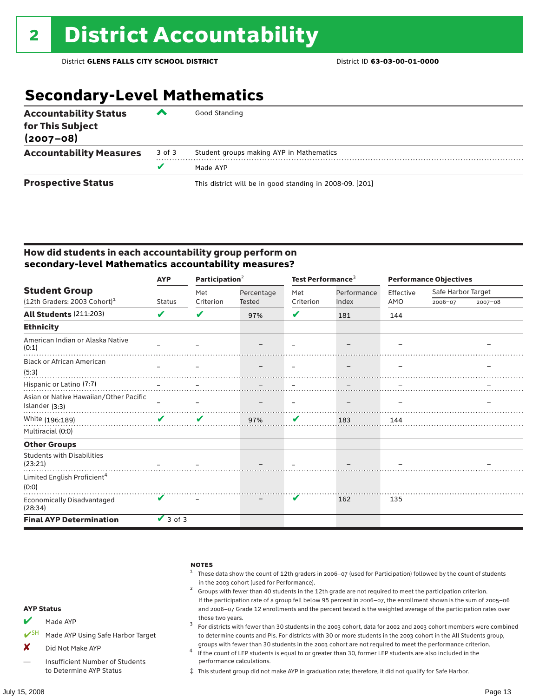### **Secondary-Level Mathematics**

| <b>Accountability Status</b><br>for This Subject<br>$(2007 - 08)$ | ▰      | Good Standing                                            |
|-------------------------------------------------------------------|--------|----------------------------------------------------------|
| <b>Accountability Measures</b>                                    | 3 of 3 | Student groups making AYP in Mathematics                 |
|                                                                   | v      | Made AYP                                                 |
| <b>Prospective Status</b>                                         |        | This district will be in good standing in 2008-09. [201] |

#### How did students in each accountability group perform on **secondary-level Mathematics accountability measures?**

|                                                                                                                                                                                                                                  | <b>AYP</b>                      | Participation $2$ |            | Test Performance <sup>3</sup> |                          | <b>Performance Objectives</b> |                    |             |
|----------------------------------------------------------------------------------------------------------------------------------------------------------------------------------------------------------------------------------|---------------------------------|-------------------|------------|-------------------------------|--------------------------|-------------------------------|--------------------|-------------|
| <b>Student Group</b>                                                                                                                                                                                                             |                                 | Met               | Percentage | Met                           | Performance              | Effective                     | Safe Harbor Target |             |
| (12th Graders: 2003 Cohort) <sup>1</sup>                                                                                                                                                                                         | <b>Status</b>                   | Criterion         | Tested     | Criterion                     | Index                    | AMO                           | 2006-07            | $2007 - 08$ |
| All Students (211:203)                                                                                                                                                                                                           | ✔                               | V                 | 97%        | V                             | 181                      | 144                           |                    |             |
| <b>Ethnicity</b>                                                                                                                                                                                                                 |                                 |                   |            |                               |                          |                               |                    |             |
| American Indian or Alaska Native<br>(0:1)                                                                                                                                                                                        |                                 |                   |            |                               |                          |                               |                    |             |
| <b>Black or African American</b>                                                                                                                                                                                                 |                                 |                   |            |                               |                          |                               |                    |             |
| (5:3)                                                                                                                                                                                                                            | $\overline{\phantom{m}}$        |                   |            | $\equiv$                      | $\overline{\phantom{m}}$ |                               |                    |             |
| يست المستقلة المستقلة المستقلة المستقلة المستقلة المستقلة المستقلة المستقلة المستقلة المستقلة المستقلة المستقلة<br>المستقلة المستقلة المستقلة المستقلة المستقلة المستقلة المستقلة المستقلة المستقلة المستقلة المستقلة المستقلة ا |                                 |                   |            |                               |                          |                               |                    |             |
| Asian or Native Hawaiian/Other Pacific                                                                                                                                                                                           |                                 |                   |            |                               |                          |                               |                    |             |
| Islander (3:3)                                                                                                                                                                                                                   |                                 |                   |            |                               |                          |                               |                    |             |
| White (196:189)                                                                                                                                                                                                                  | $\mathcal{L}$ and $\mathcal{L}$ | V                 | 97%        | V                             | 183                      | 144                           |                    |             |
| Multiracial (0:0)                                                                                                                                                                                                                |                                 |                   |            |                               |                          |                               |                    |             |
| <b>Other Groups</b>                                                                                                                                                                                                              |                                 |                   |            |                               |                          |                               |                    |             |
| <b>Students with Disabilities</b><br>(23:21)                                                                                                                                                                                     |                                 |                   |            |                               |                          |                               |                    |             |
| Limited English Proficient <sup>4</sup><br>(0:0)                                                                                                                                                                                 |                                 |                   |            |                               |                          |                               |                    |             |
| <b>Economically Disadvantaged</b><br>(28:34)                                                                                                                                                                                     |                                 |                   |            | V                             | 162                      | 135                           |                    |             |
| <b>Final AYP Determination</b>                                                                                                                                                                                                   | $\vee$ 3 of 3                   |                   |            |                               |                          |                               |                    |             |



‡ This student group did not make AYP in graduation rate; therefore, it did not qualify for Safe Harbor.

to Determine AYP Status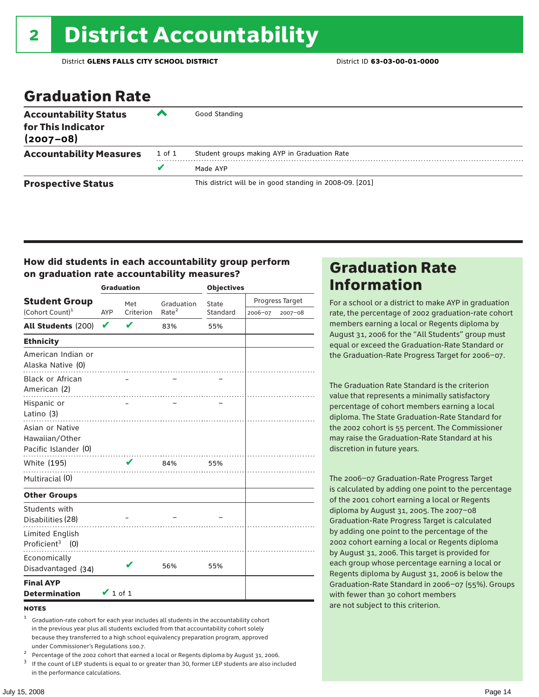### Graduation Rate

| <b>Accountability Status</b><br>for This Indicator<br>$(2007 - 08)$ | ▰      | Good Standing                                            |
|---------------------------------------------------------------------|--------|----------------------------------------------------------|
| <b>Accountability Measures</b>                                      | 1 of 1 | Student groups making AYP in Graduation Rate             |
|                                                                     | u      | Made AYP                                                 |
| <b>Prospective Status</b>                                           |        | This district will be in good standing in 2008-09. [201] |

#### How did students in each accountability group perform on graduation rate accountability measures?

|                                                           |               | <b>Graduation</b> |                   | <b>Objectives</b> |         |                 |
|-----------------------------------------------------------|---------------|-------------------|-------------------|-------------------|---------|-----------------|
| <b>Student Group</b>                                      |               | Met               | Graduation        | State             |         | Progress Target |
| (Cohort Count) <sup>1</sup>                               | <b>AYP</b>    | Criterion         | Rate <sup>2</sup> | Standard          | 2006-07 | 2007-08         |
| All Students (200)                                        | V             | V                 | 83%               | 55%               |         |                 |
| <b>Ethnicity</b>                                          |               |                   |                   |                   |         |                 |
| American Indian or<br>Alaska Native (0)                   |               |                   |                   |                   |         |                 |
| <b>Black or African</b><br>American (2)                   |               |                   |                   |                   |         |                 |
| Hispanic or<br>Latino (3)                                 |               |                   |                   |                   |         |                 |
| Asian or Native<br>Hawaiian/Other<br>Pacific Islander (0) |               |                   |                   |                   |         |                 |
| White (195)                                               |               | ✔                 | <br>84%           | 55%               |         |                 |
| Multiracial (0)                                           |               |                   | .                 |                   |         |                 |
| <b>Other Groups</b>                                       |               |                   |                   |                   |         |                 |
| Students with<br>Disabilities (28)                        |               |                   |                   |                   |         |                 |
| Limited English<br>Proficient <sup>3</sup> $(0)$          |               |                   |                   |                   |         |                 |
| Economically<br>Disadvantaged (34)                        |               | V                 | 56%               | 55%               |         |                 |
| <b>Final AYP</b><br><b>Determination</b>                  | $\vee$ 1 of 1 |                   |                   |                   |         |                 |

#### **NOTES**

<sup>1</sup> Graduation-rate cohort for each year includes all students in the accountability cohort in the previous year plus all students excluded from that accountability cohort solely because they transferred to a high school equivalency preparation program, approved

under Commissioner's Regulations 100.7.<br>
Percentage of the 2002 cohort that earned a local or Regents diploma by August 31, 2006.<br>
<sup>3</sup> If the count of LEP students is equal to or greater than 30, former LEP students are a in the performance calculations.

### Graduation Rate Information

For a school or a district to make AYP in graduation rate, the percentage of 2002 graduation-rate cohort members earning a local or Regents diploma by August 31, 2006 for the "All Students" group must equal or exceed the Graduation-Rate Standard or the Graduation-Rate Progress Target for 2006–07.

The Graduation Rate Standard is the criterion value that represents a minimally satisfactory percentage of cohort members earning a local diploma. The State Graduation-Rate Standard for the 2002 cohort is 55 percent. The Commissioner may raise the Graduation-Rate Standard at his discretion in future years.

The 2006–07 Graduation-Rate Progress Target is calculated by adding one point to the percentage of the 2001 cohort earning a local or Regents diploma by August 31, 2005. The 2007–08 Graduation-Rate Progress Target is calculated by adding one point to the percentage of the 2002 cohort earning a local or Regents diploma by August 31, 2006. This target is provided for each group whose percentage earning a local or Regents diploma by August 31, 2006 is below the Graduation-Rate Standard in 2006–07 (55%). Groups with fewer than 30 cohort members are not subject to this criterion.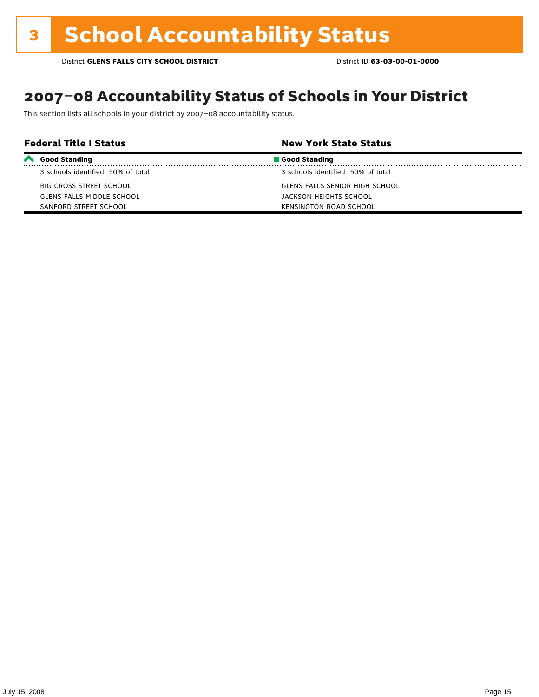### 2007–08 Accountability Status of Schools in Your District

This section lists all schools in your district by 2007–08 accountability status.

| <b>Federal Title I Status</b> |                                   | <b>New York State Status</b>      |  |
|-------------------------------|-----------------------------------|-----------------------------------|--|
| $\boldsymbol{\sim}$           | <b>Good Standing</b>              | Good Standing                     |  |
|                               | 3 schools identified 50% of total | 3 schools identified 50% of total |  |
|                               | BIG CROSS STREET SCHOOL           | GLENS FALLS SENIOR HIGH SCHOOL    |  |
|                               | GLENS FALLS MIDDLE SCHOOL         | JACKSON HEIGHTS SCHOOL            |  |
|                               | SANFORD STREET SCHOOL             | <b>KENSINGTON ROAD SCHOOL</b>     |  |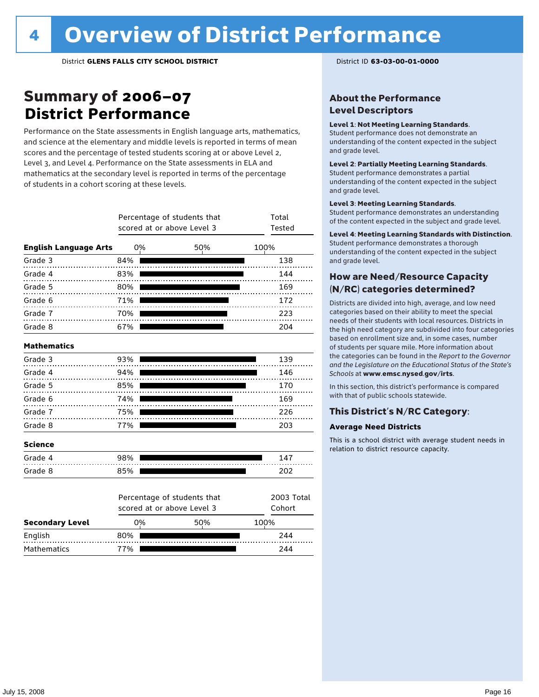### Summary of 2006–07 **District Performance**

Performance on the State assessments in English language arts, mathematics, and science at the elementary and middle levels is reported in terms of mean scores and the percentage of tested students scoring at or above Level 2, Level 3, and Level 4. Performance on the State assessments in ELA and mathematics at the secondary level is reported in terms of the percentage of students in a cohort scoring at these levels.

|                              |     | Percentage of students that<br>scored at or above Level 3 | Total<br>Tested      |
|------------------------------|-----|-----------------------------------------------------------|----------------------|
| <b>English Language Arts</b> | 0%  | 50%                                                       | 100%                 |
| Grade 3                      | 84% | .                                                         | 138                  |
| Grade 4<br>.                 | 83% |                                                           | 144                  |
| Grade 5                      | 80% |                                                           | 169                  |
| Grade 6                      | 71% | .                                                         | 172                  |
| Grade 7<br>.                 | 70% |                                                           | 223                  |
| Grade 8                      | 67% |                                                           | 204                  |
| <b>Mathematics</b>           |     |                                                           |                      |
| Grade 3                      | 93% |                                                           | 139                  |
| Grade 4                      | 94% |                                                           | 146                  |
| Grade 5                      | 85% |                                                           | 170                  |
| Grade 6                      | 74% |                                                           | 169                  |
| Grade 7                      | 75% |                                                           | 226                  |
| Grade 8                      | 77% |                                                           | 203                  |
| <b>Science</b>               |     |                                                           |                      |
| Grade 4                      | 98% |                                                           | 147                  |
| Grade 8                      | 85% |                                                           | 202                  |
|                              |     | Percentage of students that<br>scored at or above Level 3 | 2003 Total<br>Cohort |
| <b>Secondary Level</b>       | 0%  | 50%                                                       | 100%                 |

English 80% 244 Mathematics 77% **244** 

#### About the Performance Level Descriptors

#### Level 1: Not Meeting Learning Standards.

Student performance does not demonstrate an understanding of the content expected in the subject and grade level.

#### Level 2: Partially Meeting Learning Standards.

Student performance demonstrates a partial understanding of the content expected in the subject and grade level.

#### Level 3: Meeting Learning Standards.

Student performance demonstrates an understanding of the content expected in the subject and grade level.

#### Level 4: Meeting Learning Standards with Distinction.

Student performance demonstrates a thorough understanding of the content expected in the subject and grade level.

#### How are Need/Resource Capacity (N/RC) categories determined?

Districts are divided into high, average, and low need categories based on their ability to meet the special needs of their students with local resources. Districts in the high need category are subdivided into four categories based on enrollment size and, in some cases, number of students per square mile. More information about the categories can be found in the *Report to the Governor and the Legislature on the Educational Status of the State's Schools* at www.emsc.nysed.gov/irts.

In this section, this district's performance is compared with that of public schools statewide.

#### This District's N/RC Category:

#### **Average Need Districts**

This is a school district with average student needs in relation to district resource capacity.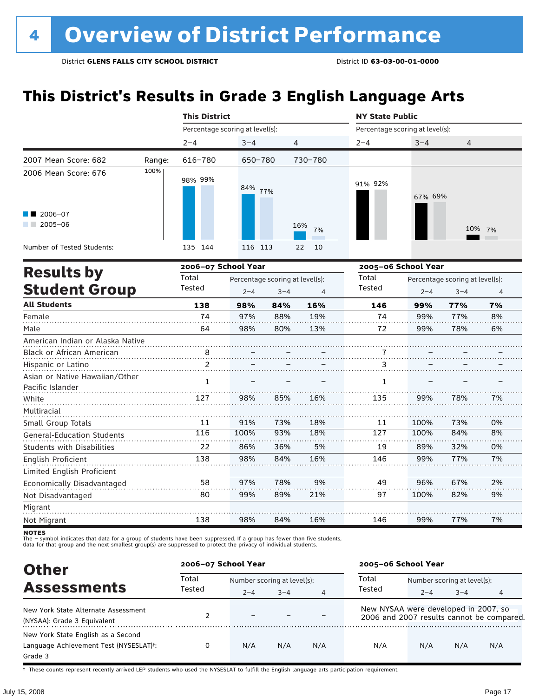### **This District's Results in Grade 3 English Language Arts**

|                                                    |        | <b>This District</b> |                                 |                                 |                | <b>NY State Public</b>          |                                 |         |        |
|----------------------------------------------------|--------|----------------------|---------------------------------|---------------------------------|----------------|---------------------------------|---------------------------------|---------|--------|
|                                                    |        |                      | Percentage scoring at level(s): |                                 |                | Percentage scoring at level(s): |                                 |         |        |
|                                                    |        | $2 - 4$              | $3 - 4$                         | 4                               |                | $2 - 4$                         | $3 - 4$                         | 4       |        |
| 2007 Mean Score: 682                               | Range: | 616-780              | 650-780                         |                                 | 730-780        |                                 |                                 |         |        |
| 2006 Mean Score: 676                               | 100%   | 98% 99%              | 84% 77%                         |                                 |                | 91% 92%                         | 67% 69%                         |         |        |
| 2006-07<br>$2005 - 06$                             |        |                      |                                 |                                 | 16%<br>7%      |                                 |                                 |         | 10% 7% |
| Number of Tested Students:                         |        | 135 144              | 116 113                         |                                 | 10<br>22       |                                 |                                 |         |        |
|                                                    |        | 2006-07 School Year  |                                 |                                 |                | 2005-06 School Year             |                                 |         |        |
| <b>Results by</b>                                  |        | Total                |                                 | Percentage scoring at level(s): |                | Total                           | Percentage scoring at level(s): |         |        |
| <b>Student Group</b>                               |        | Tested               | $2 - 4$                         | $3 - 4$                         | $\overline{4}$ | Tested                          | $2 - 4$                         | $3 - 4$ | 4      |
| <b>All Students</b>                                |        | 138                  | 98%                             | 84%                             | 16%            | 146                             | 99%                             | 77%     | 7%     |
| Female                                             |        | 74                   | 97%                             | 88%                             | 19%            | 74                              | 99%                             | 77%     | 8%     |
| Male                                               |        | 64                   | 98%                             | 80%                             | 13%            | 72                              | 99%                             | 78%     | 6%     |
| American Indian or Alaska Native                   |        |                      |                                 |                                 |                |                                 |                                 |         |        |
| Black or African American                          |        | 8                    |                                 |                                 |                |                                 |                                 |         |        |
| Hispanic or Latino                                 |        | $\mathcal{P}$        |                                 |                                 |                | 3                               |                                 |         |        |
| Asian or Native Hawaiian/Other<br>Pacific Islander |        | $\mathbf{1}$         |                                 |                                 |                | 1                               |                                 |         |        |
| White                                              |        | 127                  | 98%                             | 85%                             | 16%            | 135                             | 99%                             | 78%     | 7%     |
| Multiracial                                        |        |                      |                                 |                                 |                |                                 |                                 |         |        |
| Small Group Totals                                 |        | 11                   | 91%                             | 73%                             | 18%            | 11                              | 100%                            | 73%     | 0%     |

**NOTES**<br>The - syr .<br>- symbol indicates that data for a group of students have been suppressed. If a group has fewer than five students,

116 22 138 100% 86% 98%

93% 36% 84%

18% 5% 16%

127 19 146

100% 89% 99%

84% 32% 77%

8% 0% 7%

2% 9%

7%

67% 82%

77%

96% 100%

99%

49 97

146

9% 21%

16%

78% 89%

84%

97% 99%

98%

58 80

138

The – symbot muicates that data for a group of students have been suppressed. In a group has fewer than five<br>data for that group and the next smallest group(s) are suppressed to protect the privacy of individual students.

| <b>Other</b>                                                                                         | 2006-07 School Year |                             |         |                | 2005-06 School Year                  |                             |         |                                           |  |
|------------------------------------------------------------------------------------------------------|---------------------|-----------------------------|---------|----------------|--------------------------------------|-----------------------------|---------|-------------------------------------------|--|
| <b>Assessments</b>                                                                                   | Total<br>Tested     | Number scoring at level(s): |         |                | Total                                | Number scoring at level(s): |         |                                           |  |
|                                                                                                      |                     | $2 - 4$                     | $3 - 4$ | $\overline{4}$ | Tested                               | $2 - 4$                     | $3 - 4$ | 4                                         |  |
| New York State Alternate Assessment<br>(NYSAA): Grade 3 Equivalent                                   |                     | $\overline{\phantom{0}}$    |         |                | New NYSAA were developed in 2007, so |                             |         | 2006 and 2007 results cannot be compared. |  |
| New York State English as a Second<br>Language Achievement Test (NYSESLAT) <sup>+</sup> :<br>Grade 3 |                     | N/A                         | N/A     | N/A            | N/A                                  | N/A                         | N/A     | N/A                                       |  |

† These counts represent recently arrived LEP students who used the NYSESLAT to fulfill the English language arts participation requirement.

General-Education Students Students with Disabilities

Limited English Proficient Economically Disadvantaged

English Proficient

Not Disadvantaged

Migrant Not Migrant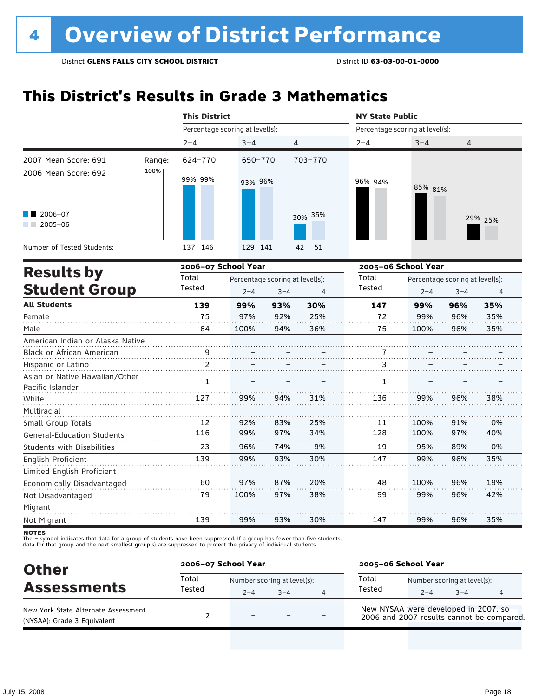### **This District's Results in Grade 3 Mathematics**

|                                                                                                                                                                     |        | <b>This District</b>            |         |                                 |          | <b>NY State Public</b>          |         |                                 |         |
|---------------------------------------------------------------------------------------------------------------------------------------------------------------------|--------|---------------------------------|---------|---------------------------------|----------|---------------------------------|---------|---------------------------------|---------|
|                                                                                                                                                                     |        | Percentage scoring at level(s): |         |                                 |          | Percentage scoring at level(s): |         |                                 |         |
|                                                                                                                                                                     |        | $2 - 4$                         | $3 - 4$ | 4                               |          | $2 - 4$                         | $3 - 4$ | 4                               |         |
| 2007 Mean Score: 691                                                                                                                                                | Range: | 624-770                         | 650-770 |                                 | 703-770  |                                 |         |                                 |         |
| 2006 Mean Score: 692                                                                                                                                                | 100%   | 99% 99%                         | 93% 96% |                                 |          | 96% 94%                         | 85% 81% |                                 |         |
| 2006-07<br>$2005 - 06$                                                                                                                                              |        |                                 |         |                                 | 30% 35%  |                                 |         |                                 | 29% 25% |
| Number of Tested Students:                                                                                                                                          |        | 137 146                         | 129 141 |                                 | 51<br>42 |                                 |         |                                 |         |
|                                                                                                                                                                     |        | 2006-07 School Year             |         |                                 |          | 2005-06 School Year             |         |                                 |         |
| <b>Results by</b>                                                                                                                                                   |        | Total                           |         | Percentage scoring at level(s): |          | Total                           |         | Percentage scoring at level(s): |         |
| <b>Student Group</b>                                                                                                                                                |        | Tested                          | $2 - 4$ | $3 - 4$                         | 4        | Tested                          | $2 - 4$ | $3 - 4$                         | 4       |
| <b>All Students</b>                                                                                                                                                 |        | 139                             | 99%     | 93%                             | 30%      | 147                             | 99%     | 96%                             | 35%     |
| Female                                                                                                                                                              |        | 75                              | 97%     | 92%                             | 25%      | 72                              | 99%     | 96%                             | 35%     |
| Male                                                                                                                                                                |        | 64                              | 100%    | 94%                             | 36%      | 75                              | 100%    | 96%                             | 35%     |
| American Indian or Alaska Native                                                                                                                                    |        |                                 |         |                                 |          |                                 |         |                                 |         |
| Black or African American                                                                                                                                           |        | 9                               |         |                                 |          | 7                               |         |                                 |         |
| Hispanic or Latino                                                                                                                                                  |        | 2                               |         |                                 |          | 3                               |         |                                 |         |
| Asian or Native Hawaiian/Other<br>Pacific Islander                                                                                                                  |        | 1                               |         |                                 |          | 1                               |         |                                 |         |
| White                                                                                                                                                               |        | 127                             | 99%     | 94%                             | 31%      | 136                             | 99%     | 96%                             | 38%     |
| Multiracial                                                                                                                                                         |        | 12                              | 92%     | 83%                             | 25%      | 11                              | 100%    | 91%                             | 0%      |
|                                                                                                                                                                     |        | 116                             | 99%     | 97%                             | 34%      | $\overline{128}$                | 100%    | 97%                             | 40%     |
| Students with Disabilities                                                                                                                                          |        | 23                              | 96%     | 74%                             | 9%       | 19                              | 95%     | 89%                             | 0%      |
|                                                                                                                                                                     |        | 139                             | 99%     | 93%                             | 30%      | 147                             | 99%     | 96%                             | 35%     |
|                                                                                                                                                                     |        |                                 |         |                                 |          |                                 |         |                                 |         |
|                                                                                                                                                                     |        | 60                              | 97%     | 87%                             | 20%      | 48                              | 100%    | 96%                             | 19%     |
| Not Disadvantaged                                                                                                                                                   |        | 79                              | 100%    | 97%                             | 38%      | 99                              | 99%     | 96%                             | 42%     |
|                                                                                                                                                                     |        |                                 |         |                                 |          |                                 |         |                                 |         |
|                                                                                                                                                                     |        | 139                             | 99%     | 93%                             | 30%      | 147                             | 99%     | 96%                             | 35%     |
| Small Group Totals<br><b>General-Education Students</b><br>English Proficient<br>Limited English Proficient<br>Economically Disadvantaged<br>Migrant<br>Not Migrant |        |                                 |         |                                 |          |                                 |         |                                 |         |

**NOTES** 

| <b>Other</b>                                                       |                 | 2006-07 School Year                    |      |   |                                                                                   | 2005-06 School Year |                                        |   |  |  |
|--------------------------------------------------------------------|-----------------|----------------------------------------|------|---|-----------------------------------------------------------------------------------|---------------------|----------------------------------------|---|--|--|
| <b>Assessments</b>                                                 | Total<br>Tested | Number scoring at level(s):<br>$2 - 4$ | $-4$ | 4 | Total<br>Tested                                                                   | $2 - 4$             | Number scoring at level(s):<br>$3 - 4$ | 4 |  |  |
| New York State Alternate Assessment<br>(NYSAA): Grade 3 Equivalent |                 | $\overline{\phantom{0}}$               |      |   | New NYSAA were developed in 2007, so<br>2006 and 2007 results cannot be compared. |                     |                                        |   |  |  |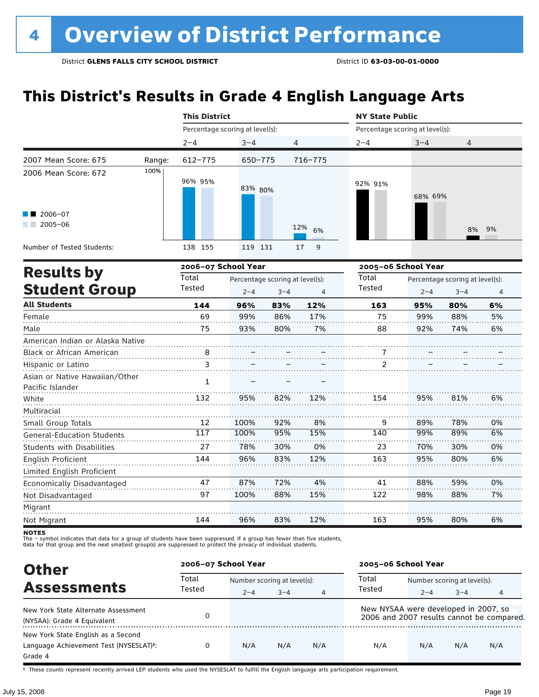### **This District's Results in Grade 4 English Language Arts**

|                                                                            |        | <b>This District</b>            |                                                            |     |           | <b>NY State Public</b> |     | Percentage scoring at level(s):<br>$3 - 4$<br>4<br>68% 69%<br>8%<br>Percentage scoring at level(s):<br>$3 - 4$<br>$2 - 4$<br>95%<br>80% |                |
|----------------------------------------------------------------------------|--------|---------------------------------|------------------------------------------------------------|-----|-----------|------------------------|-----|-----------------------------------------------------------------------------------------------------------------------------------------|----------------|
|                                                                            |        | Percentage scoring at level(s): |                                                            |     |           |                        |     |                                                                                                                                         |                |
|                                                                            |        | $2 - 4$                         | $3 - 4$                                                    | 4   |           | $2 - 4$                |     |                                                                                                                                         |                |
| 2007 Mean Score: 675                                                       | Range: | 612-775                         | 650-775                                                    |     | 716-775   |                        |     |                                                                                                                                         |                |
| 2006 Mean Score: 672                                                       | 100%   | 96% 95%                         | 83% 80%                                                    |     |           | 92% 91%                |     |                                                                                                                                         |                |
| 2006-07<br>$2005 - 06$                                                     |        |                                 |                                                            |     | 12%<br>6% |                        |     |                                                                                                                                         | 9%             |
| Number of Tested Students:                                                 |        | 138 155                         | 119 131                                                    |     | 9<br>17   |                        |     |                                                                                                                                         |                |
|                                                                            |        | 2006-07 School Year             |                                                            |     |           | 2005-06 School Year    |     |                                                                                                                                         |                |
| <b>Results by</b><br><b>Student Group</b><br><b>All Students</b><br>Female |        | Total<br>Tested                 | Percentage scoring at level(s):<br>$2 - 4$<br>$3 - 4$<br>4 |     |           | Total<br><b>Tested</b> |     |                                                                                                                                         | $\overline{4}$ |
|                                                                            |        | 144                             | 96%                                                        | 83% | 12%       | 163                    |     |                                                                                                                                         | 6%             |
|                                                                            |        | 69                              | 99%                                                        | 86% | 17%       | 75                     | 99% | 88%                                                                                                                                     | 5%             |
| Male                                                                       |        | 75                              | 93%                                                        | 80% | 7%        | 88                     | 92% | 74%                                                                                                                                     | 6%             |
| American Indian or Alaska Native                                           |        |                                 |                                                            |     |           |                        |     |                                                                                                                                         |                |
| <b>Black or African American</b>                                           |        | 8                               |                                                            |     |           | 7                      |     |                                                                                                                                         |                |
| Hispanic or Latino                                                         |        | 3                               |                                                            |     |           | 2                      |     |                                                                                                                                         |                |
| Asian or Native Hawaiian/Other<br>Pacific Islander                         |        | $\mathbf{1}$                    |                                                            |     |           |                        |     |                                                                                                                                         |                |
| White                                                                      |        | 132                             | 95%                                                        | 82% | 12%       | 154                    | 95% | 81%                                                                                                                                     | 6%             |
| Multiracial<br>Small Group Totals                                          |        | 12                              | 100%                                                       | 92% | 8%        | 9                      | 89% | 78%                                                                                                                                     | 0%             |
| <b>General-Education Students</b>                                          |        | $\overline{117}$                | 100%                                                       | 95% | 15%       | 140                    | 99% | 89%                                                                                                                                     | 6%             |
| <b>Students with Disabilities</b>                                          |        | 27                              | 78%                                                        | 30% | 0%        | 23                     | 70% | 30%                                                                                                                                     | 0%             |
| English Proficient                                                         |        | 144                             | 96%                                                        | 83% | 12%       | 163                    | 95% | 80%                                                                                                                                     | 6%             |
| Limited English Proficient                                                 |        |                                 |                                                            |     |           |                        |     |                                                                                                                                         |                |
| Economically Disadvantaged                                                 |        | 47                              | 87%                                                        | 72% | 4%        | 41                     | 88% | 59%                                                                                                                                     | 0%             |
| Not Disadvantaged                                                          |        | 97                              | 100%                                                       | 88% | 15%       | 122                    | 98% | 88%                                                                                                                                     | 7%             |
| Migrant                                                                    |        |                                 |                                                            |     |           |                        |     |                                                                                                                                         |                |
| Not Migrant                                                                |        | 144                             | 96%                                                        | 83% | 12%       | 163                    | 95% | 80%                                                                                                                                     | 6%             |

**NOTES** 

The – symbol indicates that data for a group of students have been suppressed. If a group has fewer than five students,<br>data for that group and the next smallest group(s) are suppressed to protect the privacy of individual

| <b>Other</b>                                                                                         | 2006-07 School Year |         |                             |                | 2005-06 School Year                  |                             |         |                                           |  |
|------------------------------------------------------------------------------------------------------|---------------------|---------|-----------------------------|----------------|--------------------------------------|-----------------------------|---------|-------------------------------------------|--|
|                                                                                                      | Total<br>Tested     |         | Number scoring at level(s): |                |                                      | Number scoring at level(s): |         |                                           |  |
| <b>Assessments</b>                                                                                   |                     | $2 - 4$ | $3 - 4$                     | $\overline{4}$ | Tested                               | $2 - 4$                     | $3 - 4$ | 4                                         |  |
| New York State Alternate Assessment<br>(NYSAA): Grade 4 Equivalent                                   |                     |         |                             |                | New NYSAA were developed in 2007, so |                             |         | 2006 and 2007 results cannot be compared. |  |
| New York State English as a Second<br>Language Achievement Test (NYSESLAT) <sup>+</sup> :<br>Grade 4 |                     | N/A     | N/A                         | N/A            | N/A                                  | N/A                         | N/A     | N/A                                       |  |

† These counts represent recently arrived LEP students who used the NYSESLAT to fulfill the English language arts participation requirement.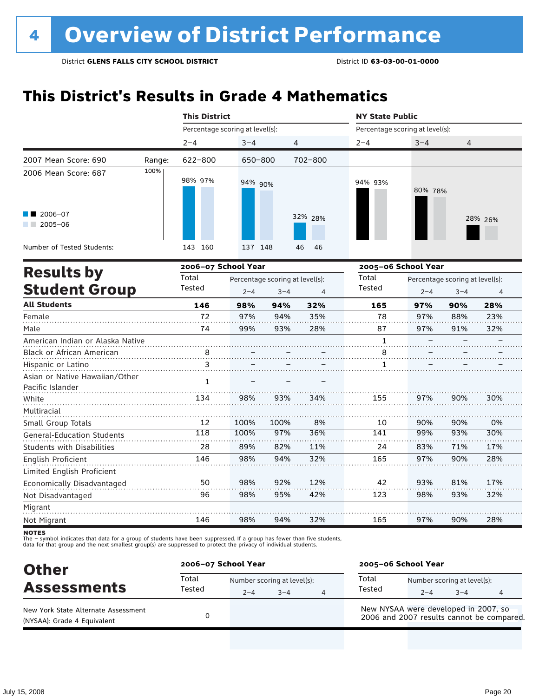### **This District's Results in Grade 4 Mathematics**

|                                                                                                                                                                                                                                                                                                                                                                                                 |        | <b>This District</b>            |              |                                 |                | <b>NY State Public</b>          |            |                                 |           |
|-------------------------------------------------------------------------------------------------------------------------------------------------------------------------------------------------------------------------------------------------------------------------------------------------------------------------------------------------------------------------------------------------|--------|---------------------------------|--------------|---------------------------------|----------------|---------------------------------|------------|---------------------------------|-----------|
|                                                                                                                                                                                                                                                                                                                                                                                                 |        | Percentage scoring at level(s): |              |                                 |                | Percentage scoring at level(s): |            |                                 |           |
|                                                                                                                                                                                                                                                                                                                                                                                                 |        | $2 - 4$                         | $3 - 4$      | 4                               |                | $2 - 4$                         | $3 - 4$    | 4                               |           |
| 2007 Mean Score: 690                                                                                                                                                                                                                                                                                                                                                                            | Range: | 622-800                         | 650-800      |                                 | 702-800        |                                 |            |                                 |           |
| 2006 Mean Score: 687                                                                                                                                                                                                                                                                                                                                                                            | 100%   | 98% 97%                         | 94% 90%      |                                 |                | 94% 93%                         | 80% 78%    |                                 |           |
| 2006-07<br>$2005 - 06$                                                                                                                                                                                                                                                                                                                                                                          |        |                                 |              |                                 | 32% 28%        |                                 |            |                                 | 28% 26%   |
| Number of Tested Students:                                                                                                                                                                                                                                                                                                                                                                      |        | 143 160                         | 137 148      |                                 | 46<br>46       |                                 |            |                                 |           |
|                                                                                                                                                                                                                                                                                                                                                                                                 |        | 2006-07 School Year             |              |                                 |                | 2005-06 School Year             |            |                                 |           |
|                                                                                                                                                                                                                                                                                                                                                                                                 |        | Total                           |              | Percentage scoring at level(s): |                | Total                           |            | Percentage scoring at level(s): |           |
| <b>Results by</b><br><b>Student Group</b><br><b>All Students</b><br>Female<br>Male<br><b>Black or African American</b><br>Hispanic or Latino<br>Pacific Islander<br>White<br>Multiracial<br>Small Group Totals<br><b>General-Education Students</b><br><b>Students with Disabilities</b><br>English Proficient<br>Limited English Proficient<br>Economically Disadvantaged<br>Not Disadvantaged |        | Tested                          | $2 - 4$      | $3 - 4$                         | $\overline{4}$ | <b>Tested</b>                   | $2 - 4$    | $3 - 4$                         | 4         |
|                                                                                                                                                                                                                                                                                                                                                                                                 |        | 146                             | 98%          | 94%                             | 32%            | 165                             | 97%        | 90%                             | 28%       |
|                                                                                                                                                                                                                                                                                                                                                                                                 |        | 72                              | 97%          | 94%                             | 35%            | 78                              | 97%        | 88%                             | 23%       |
|                                                                                                                                                                                                                                                                                                                                                                                                 |        | 74                              | 99%          | 93%                             | 28%            | 87                              | 97%        | 91%                             | 32%       |
| American Indian or Alaska Native                                                                                                                                                                                                                                                                                                                                                                |        |                                 |              |                                 |                | 1                               |            |                                 |           |
|                                                                                                                                                                                                                                                                                                                                                                                                 |        | 8                               |              |                                 |                | 8                               |            |                                 |           |
|                                                                                                                                                                                                                                                                                                                                                                                                 |        | 3                               |              |                                 |                | $\mathbf{1}$                    |            |                                 |           |
| Asian or Native Hawaiian/Other                                                                                                                                                                                                                                                                                                                                                                  |        | 1                               |              |                                 |                |                                 |            |                                 |           |
|                                                                                                                                                                                                                                                                                                                                                                                                 |        | 134                             | 98%          | 93%                             | 34%            | 155                             | 97%        | 90%                             | 30%       |
|                                                                                                                                                                                                                                                                                                                                                                                                 |        |                                 |              |                                 |                |                                 |            |                                 |           |
|                                                                                                                                                                                                                                                                                                                                                                                                 |        | 12<br>118                       | 100%<br>100% | 100%<br>97%                     | 8%<br>36%      | 10<br>141                       | 90%<br>99% | 90%<br>93%                      | 0%<br>30% |
|                                                                                                                                                                                                                                                                                                                                                                                                 |        |                                 |              |                                 |                |                                 |            |                                 |           |
|                                                                                                                                                                                                                                                                                                                                                                                                 |        | 28                              | 89%          | 82%                             | 11%            | 24                              | 83%        | 71%                             | 17%       |
|                                                                                                                                                                                                                                                                                                                                                                                                 |        | 146                             | 98%          | 94%                             | 32%            | 165                             | 97%        | 90%                             | 28%       |
|                                                                                                                                                                                                                                                                                                                                                                                                 |        |                                 |              |                                 |                |                                 |            |                                 |           |
|                                                                                                                                                                                                                                                                                                                                                                                                 |        | 50                              | 98%          | 92%                             | 12%            | 42                              | 93%        | 81%                             | 17%       |
|                                                                                                                                                                                                                                                                                                                                                                                                 |        | 96                              | 98%          | 95%                             | 42%            | 123                             | 98%        | 93%                             | 32%       |
| Migrant                                                                                                                                                                                                                                                                                                                                                                                         |        |                                 |              |                                 |                |                                 |            |                                 |           |
| Not Migrant                                                                                                                                                                                                                                                                                                                                                                                     |        | 146                             | 98%          | 94%                             | 32%            | 165                             | 97%        | 90%                             | 28%       |

**NOTES** 

| <b>Other</b>                                                       |                 | 2006-07 School Year |                                        |   |                                                                                   | 2005-06 School Year |                                        |   |  |  |
|--------------------------------------------------------------------|-----------------|---------------------|----------------------------------------|---|-----------------------------------------------------------------------------------|---------------------|----------------------------------------|---|--|--|
| <b>Assessments</b>                                                 | Total<br>Tested | $2 - 4$             | Number scoring at level(s):<br>$3 - 4$ | 4 | Total<br>Tested                                                                   | $2 - 4$             | Number scoring at level(s):<br>$3 - 4$ | 4 |  |  |
| New York State Alternate Assessment<br>(NYSAA): Grade 4 Equivalent |                 |                     |                                        |   | New NYSAA were developed in 2007, so<br>2006 and 2007 results cannot be compared. |                     |                                        |   |  |  |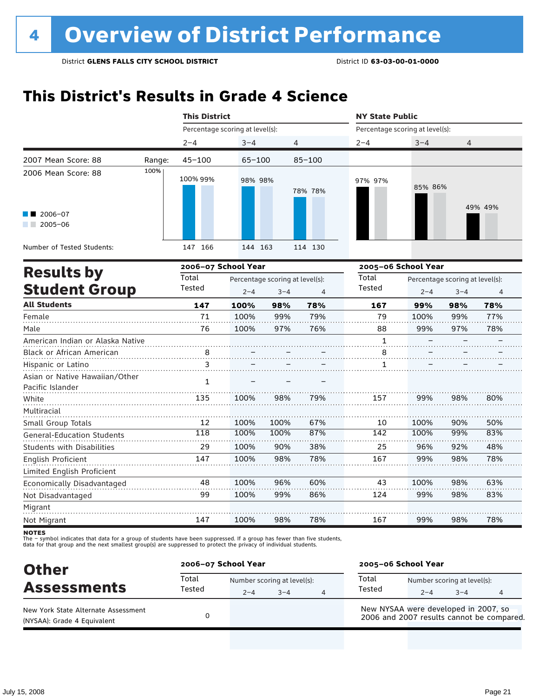### **This District's Results in Grade 4 Science**

|                                                          |        | <b>This District</b>            |         |                                 |                | <b>NY State Public</b>          |                     |                                 |         |
|----------------------------------------------------------|--------|---------------------------------|---------|---------------------------------|----------------|---------------------------------|---------------------|---------------------------------|---------|
|                                                          |        | Percentage scoring at level(s): |         |                                 |                | Percentage scoring at level(s): |                     |                                 |         |
|                                                          |        | $2 - 4$                         | $3 - 4$ |                                 | 4              | $2 - 4$                         | $3 - 4$             | 4                               |         |
| 2007 Mean Score: 88                                      | Range: | $45 - 100$                      | 65-100  |                                 | $85 - 100$     |                                 |                     |                                 |         |
| 2006 Mean Score: 88                                      | 100%   | 100% 99%                        | 98% 98% |                                 | 78% 78%        | 97% 97%                         | 85% 86%             |                                 |         |
| $\blacksquare$ 2006-07<br>$2005 - 06$<br><b>Contract</b> |        |                                 |         |                                 |                |                                 |                     |                                 | 49% 49% |
| Number of Tested Students:                               |        | 147 166                         | 144 163 |                                 | 114 130        |                                 |                     |                                 |         |
| <b>Results by</b>                                        |        | 2006-07 School Year             |         |                                 |                |                                 | 2005-06 School Year |                                 |         |
|                                                          |        | Total                           |         | Percentage scoring at level(s): |                | Total                           |                     | Percentage scoring at level(s): |         |
| <b>Student Group</b>                                     |        | Tested                          | $2 - 4$ | $3 - 4$                         | $\overline{4}$ | Tested                          | $2 - 4$             | $3 - 4$                         | 4       |
| <b>All Students</b>                                      |        | 147                             | 100%    | 98%                             | 78%            | 167                             | 99%                 | 98%                             | 78%     |
| Female                                                   |        | 71                              | 100%    | 99%                             | 79%            | 79                              | 100%                | 99%                             | 77%     |
| Male                                                     |        | 76                              | 100%    | 97%                             | 76%            | 88                              | 99%                 | 97%                             | 78%     |
| American Indian or Alaska Native                         |        |                                 |         |                                 |                | $\mathbf{1}$                    |                     |                                 |         |
| Black or African American                                |        | $\mathbf{8}$ .                  |         |                                 |                | $\overline{8}$ .                |                     |                                 |         |
| Hispanic or Latino                                       |        | 3                               |         |                                 |                | 1                               |                     |                                 |         |
| Asian or Native Hawaiian/Other<br>Pacific Islander       |        | $\mathbf{1}$                    |         |                                 |                |                                 |                     |                                 |         |
| White                                                    |        | 135                             | 100%    | 98%                             | 79%            | 157                             | 99%                 | 98%                             | 80%     |
| Multiracial                                              |        |                                 |         |                                 |                |                                 |                     |                                 |         |
| Small Group Totals                                       |        | 12                              | 100%    | 100%                            | 67%            | 10                              | 100%                | 90%                             | 50%     |
| <b>General-Education Students</b>                        |        | 118                             | 100%    | 100%                            | 87%            | 142                             | 100%                | 99%                             | 83%     |
| <b>Students with Disabilities</b>                        |        | 29                              | 100%    | 90%                             | 38%            | 25                              | 96%                 | 92%                             | 48%     |
| <b>English Proficient</b>                                |        | 147                             | 100%    | 98%                             | 78%            | 167                             | 99%                 | 98%                             | 78%     |
| Limited English Proficient                               |        |                                 |         |                                 |                |                                 |                     |                                 |         |
| Economically Disadvantaged                               |        | 48                              | 100%    | 96%                             | 60%            | 43                              | 100%                | 98%                             | 63%     |
| Not Disadvantaged                                        |        | 99                              | 100%    | 99%                             | 86%            | 124                             | 99%                 | 98%                             | 83%     |
| Migrant                                                  |        |                                 |         |                                 |                |                                 |                     |                                 |         |
| Not Migrant                                              |        | 147                             | 100%    | 98%                             | 78%            | 167                             | 99%                 | 98%                             | 78%     |

**NOTES** 

| <b>Other</b>                                                       |                 | 2006-07 School Year |                                        |   |                 | 2005-06 School Year                  |                                        |                                           |  |  |
|--------------------------------------------------------------------|-----------------|---------------------|----------------------------------------|---|-----------------|--------------------------------------|----------------------------------------|-------------------------------------------|--|--|
| <b>Assessments</b>                                                 | Total<br>Tested | $2 - 4$             | Number scoring at level(s):<br>$3 - 4$ | 4 | Total<br>Tested | $2 - 4$                              | Number scoring at level(s):<br>$3 - 4$ | 4                                         |  |  |
| New York State Alternate Assessment<br>(NYSAA): Grade 4 Equivalent |                 |                     |                                        |   |                 | New NYSAA were developed in 2007, so |                                        | 2006 and 2007 results cannot be compared. |  |  |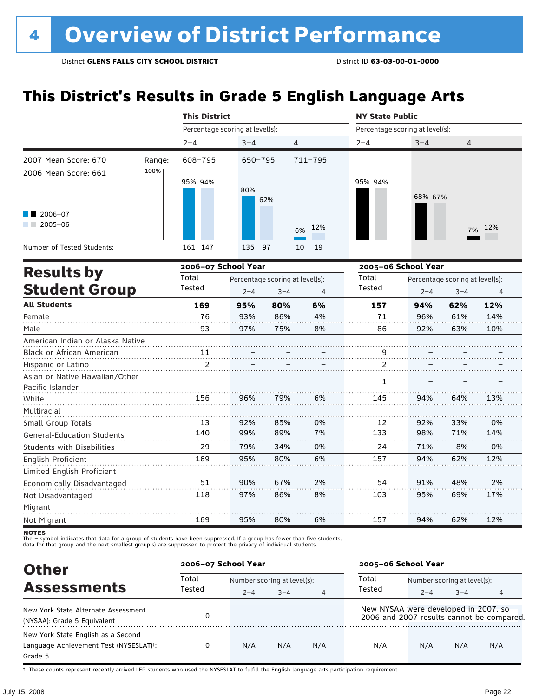### **This District's Results in Grade 5 English Language Arts**

|                                                    |        | <b>This District</b>            |             |                                 |                | <b>NY State Public</b>          |         |                                 |     |  |  |
|----------------------------------------------------|--------|---------------------------------|-------------|---------------------------------|----------------|---------------------------------|---------|---------------------------------|-----|--|--|
|                                                    |        | Percentage scoring at level(s): |             |                                 |                | Percentage scoring at level(s): |         |                                 |     |  |  |
|                                                    |        | $2 - 4$                         | $3 - 4$     | $\overline{4}$                  |                | $2 - 4$                         | $3 - 4$ | 4                               |     |  |  |
| 2007 Mean Score: 670                               | Range: | 608-795                         | $650 - 795$ |                                 | $711 - 795$    |                                 |         |                                 |     |  |  |
| 2006 Mean Score: 661                               | 100%   | 95% 94%                         | 80%         | 62%                             |                | 95% 94%                         | 68% 67% |                                 |     |  |  |
| $\blacksquare$ 2006-07<br>$2005 - 06$<br>a sa Bala |        |                                 |             |                                 | 12%<br>6%      |                                 |         | 7%                              | 12% |  |  |
| Number of Tested Students:                         |        | 161 147                         | 135         | 97                              | 19<br>10       |                                 |         |                                 |     |  |  |
| <b>Results by</b>                                  |        | 2006-07 School Year             |             |                                 |                | 2005-06 School Year             |         |                                 |     |  |  |
|                                                    |        | Total                           |             | Percentage scoring at level(s): |                | Total                           |         | Percentage scoring at level(s): |     |  |  |
| <b>Student Group</b>                               |        | Tested                          | $2 - 4$     | $3 - 4$                         | $\overline{4}$ | Tested                          | $2 - 4$ | $3 - 4$                         | 4   |  |  |
| <b>All Students</b>                                |        | 169                             | 95%         | 80%                             | 6%             | 157                             | 94%     | 62%                             | 12% |  |  |
| Female                                             |        | 76                              | 93%         | 86%                             | 4%             | 71                              | 96%     | 61%                             | 14% |  |  |
| Male                                               |        | 93                              | 97%         | 75%                             | 8%             | 86                              | 92%     | 63%                             | 10% |  |  |
| American Indian or Alaska Native                   |        |                                 |             |                                 |                |                                 |         |                                 |     |  |  |
| Black or African American                          |        | 11                              |             |                                 |                | $\overline{9}$                  |         |                                 |     |  |  |
| Hispanic or Latino                                 |        | $\overline{2}$                  |             |                                 |                | $\overline{2}$                  |         |                                 |     |  |  |
| Asian or Native Hawaiian/Other<br>Pacific Islander |        |                                 |             |                                 |                | $\mathbf{1}$                    |         |                                 |     |  |  |
| White                                              |        | 156                             | 96%         | 79%                             | 6%             | 145                             | 94%     | 64%                             | 13% |  |  |
| Multiracial                                        |        |                                 |             |                                 |                |                                 |         |                                 |     |  |  |
| Small Group Totals                                 |        | 13                              | 92%         | 85%                             | 0%             | 12                              | 92%     | 33%                             | 0%  |  |  |
| <b>General-Education Students</b>                  |        | 140                             | 99%         | 89%                             | 7%             | 133                             | 98%     | 71%                             | 14% |  |  |
| <b>Students with Disabilities</b>                  |        | 29                              | 79%         | 34%                             | 0%             | 24                              | 71%     | 8%                              | 0%  |  |  |
| English Proficient                                 |        | 169                             | 95%         | 80%                             | 6%             | 157                             | 94%     | 62%                             | 12% |  |  |
| Limited English Proficient                         |        |                                 |             |                                 |                |                                 |         |                                 |     |  |  |
| Economically Disadvantaged                         |        | 51                              | 90%         | 67%                             | 2%             | 54                              | 91%     | 48%                             | 2%  |  |  |
| Not Disadvantaged                                  |        | 118                             | 97%         | 86%                             | 8%             | 103                             | 95%     | 69%                             | 17% |  |  |
| Migrant                                            |        |                                 |             |                                 |                |                                 |         |                                 |     |  |  |
| Not Migrant                                        |        | 169                             | 95%         | 80%                             | 6%             | 157                             | 94%     | 62%                             | 12% |  |  |

**NOTES** 

The – symbol indicates that data for a group of students have been suppressed. If a group has fewer than five students,<br>data for that group and the next smallest group(s) are suppressed to protect the privacy of individual

| <b>Other</b>                           | 2006-07 School Year |         |                             |                | 2005-06 School Year                  |                             |         |                                           |  |
|----------------------------------------|---------------------|---------|-----------------------------|----------------|--------------------------------------|-----------------------------|---------|-------------------------------------------|--|
| <b>Assessments</b>                     | Total<br>Tested     |         | Number scoring at level(s): |                |                                      | Number scoring at level(s): |         |                                           |  |
|                                        |                     | $2 - 4$ | $3 - 4$                     | $\overline{4}$ | Tested                               | $2 - 4$                     | $3 - 4$ | 4                                         |  |
| New York State Alternate Assessment    |                     |         |                             |                | New NYSAA were developed in 2007, so |                             |         |                                           |  |
| (NYSAA): Grade 5 Equivalent            |                     |         |                             |                |                                      |                             |         | 2006 and 2007 results cannot be compared. |  |
| New York State English as a Second     |                     |         |                             |                |                                      |                             |         |                                           |  |
| Language Achievement Test (NYSESLAT)t: | 0                   | N/A     | N/A                         | N/A            | N/A                                  | N/A                         | N/A     | N/A                                       |  |
| Grade 5                                |                     |         |                             |                |                                      |                             |         |                                           |  |

† These counts represent recently arrived LEP students who used the NYSESLAT to fulfill the English language arts participation requirement.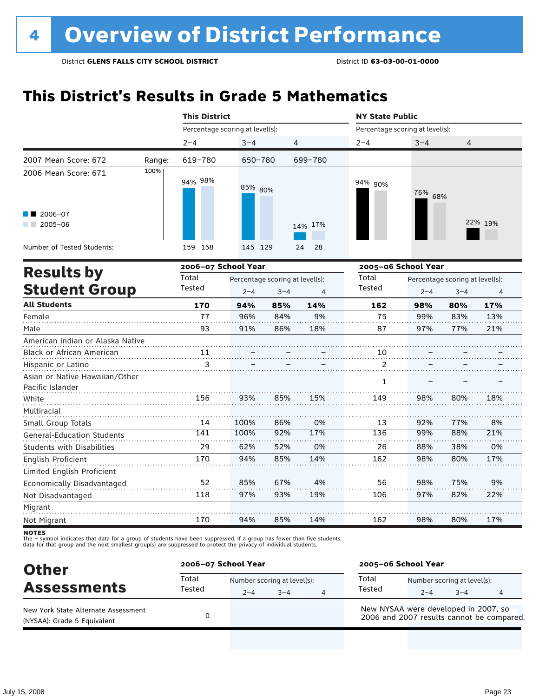### **This District's Results in Grade 5 Mathematics**

|                                                    | <b>This District</b>            |         |                                            |          | <b>NY State Public</b>          |                     |                                            |         |  |  |
|----------------------------------------------------|---------------------------------|---------|--------------------------------------------|----------|---------------------------------|---------------------|--------------------------------------------|---------|--|--|
|                                                    | Percentage scoring at level(s): |         |                                            |          | Percentage scoring at level(s): |                     |                                            |         |  |  |
|                                                    | $2 - 4$                         | $3 - 4$ | 4                                          |          | $2 - 4$                         | $3 - 4$             | 4                                          |         |  |  |
| 2007 Mean Score: 672                               | 619-780<br>Range:               | 650-780 |                                            | 699-780  |                                 |                     |                                            |         |  |  |
| 100%<br>2006 Mean Score: 671                       | 94% 98%                         | 85% 80% |                                            |          | 94% 90%                         | 76% 68%             |                                            |         |  |  |
| $2006 - 07$<br>$2005 - 06$                         |                                 |         |                                            | 14% 17%  |                                 |                     |                                            | 22% 19% |  |  |
| Number of Tested Students:                         | 159 158                         | 145 129 |                                            | 28<br>24 |                                 |                     |                                            |         |  |  |
| <b>Results by</b>                                  | 2006-07 School Year             |         |                                            |          |                                 | 2005-06 School Year |                                            |         |  |  |
| <b>Student Group</b>                               | Total<br>Tested                 | $2 - 4$ | Percentage scoring at level(s):<br>$3 - 4$ | 4        | Total<br><b>Tested</b>          | $2 - 4$             | Percentage scoring at level(s):<br>$3 - 4$ | 4       |  |  |
| <b>All Students</b>                                | 170                             | 94%     | 85%                                        | 14%      | 162                             | 98%                 | 80%                                        | 17%     |  |  |
| Female                                             | 77                              | 96%     | 84%                                        | 9%       | 75                              | 99%                 | 83%                                        | 13%     |  |  |
| Male                                               | 93                              | 91%     | 86%                                        | 18%      | 87                              | 97%                 | 77%                                        | 21%     |  |  |
| American Indian or Alaska Native                   |                                 |         |                                            |          |                                 |                     |                                            |         |  |  |
| Black or African American                          | 11                              |         |                                            |          | 10                              |                     |                                            |         |  |  |
| Hispanic or Latino                                 | 3                               |         |                                            |          | 2                               |                     |                                            |         |  |  |
| Asian or Native Hawaiian/Other<br>Pacific Islander |                                 |         |                                            |          | 1                               |                     |                                            |         |  |  |
| White                                              | 156                             | 93%     | 85%                                        | 15%      | 149                             | 98%                 | 80%                                        | 18%     |  |  |
| Multiracial<br>Small Group Totals                  | 14                              | 100%    | 86%                                        | 0%       | 13                              | 92%                 | 77%                                        | 8%      |  |  |
| <b>General-Education Students</b>                  | 141                             | 100%    | 92%                                        | 17%      | 136                             | 99%                 | 88%                                        | 21%     |  |  |
| <b>Students with Disabilities</b>                  | 29                              | 62%     | 52%                                        | 0%       | 26                              | 88%                 | 38%                                        | 0%      |  |  |
| English Proficient                                 | 170                             | 94%     | 85%                                        | 14%      | 162                             | 98%                 | 80%                                        | 17%     |  |  |
| Limited English Proficient                         |                                 |         |                                            |          |                                 |                     |                                            |         |  |  |
| Economically Disadvantaged                         | 52                              | 85%     | 67%                                        | 4%       | 56                              | 98%                 | 75%                                        | 9%      |  |  |
| Not Disadvantaged                                  | 118                             | 97%     | 93%                                        | 19%      | 106                             | 97%                 | 82%                                        | 22%     |  |  |
| Migrant                                            |                                 |         |                                            |          |                                 |                     |                                            |         |  |  |
| Not Migrant                                        | 170                             | 94%     | 85%                                        | 14%      | 162                             | 98%                 | 80%                                        | 17%     |  |  |

**NOTES** 

| <b>Other</b>                                                       | 2006-07 School Year |                                        |         | 2005-06 School Year                                                               |                                        |         |   |  |
|--------------------------------------------------------------------|---------------------|----------------------------------------|---------|-----------------------------------------------------------------------------------|----------------------------------------|---------|---|--|
| <b>Assessments</b>                                                 | Total<br>Tested     | Number scoring at level(s):<br>$2 - 4$ | $3 - 4$ | Total<br>Tested                                                                   | Number scoring at level(s):<br>$2 - 4$ | $3 - 4$ | 4 |  |
| New York State Alternate Assessment<br>(NYSAA): Grade 5 Equivalent |                     |                                        |         | New NYSAA were developed in 2007, so<br>2006 and 2007 results cannot be compared. |                                        |         |   |  |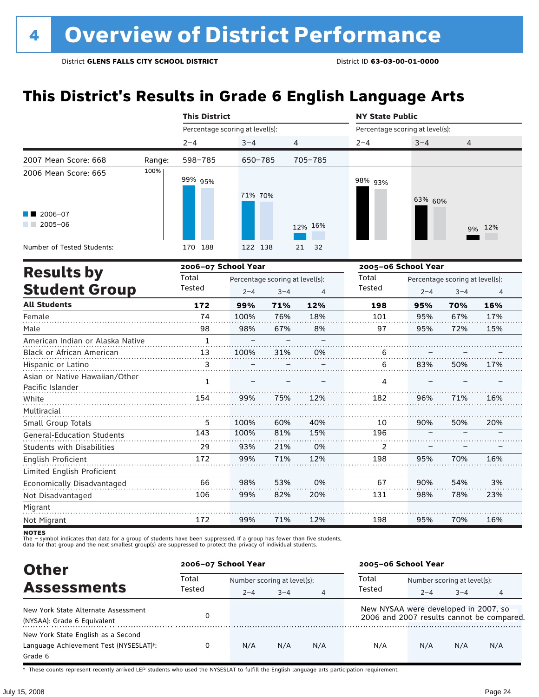### **This District's Results in Grade 6 English Language Arts**

|                                                                          |        | <b>This District</b>            |         |                | <b>NY State Public</b>          |         |                |  |  |
|--------------------------------------------------------------------------|--------|---------------------------------|---------|----------------|---------------------------------|---------|----------------|--|--|
|                                                                          |        | Percentage scoring at level(s): |         |                | Percentage scoring at level(s): |         |                |  |  |
|                                                                          |        | $2 - 4$                         | $3 - 4$ | $\overline{4}$ | $2 - 4$                         | $3 - 4$ | $\overline{4}$ |  |  |
| 2007 Mean Score: 668                                                     | Range: | 598-785                         | 650-785 | 705-785        |                                 |         |                |  |  |
| 2006 Mean Score: 665<br>$\blacksquare$ 2006-07<br>2005-06<br>a kacamatan | 100%   | 99% 95%                         | 71% 70% | 12% 16%        | 98% <sub>93%</sub>              | 63% 60% | 9% 12%         |  |  |
| Number of Tested Students:                                               |        | 170 188                         | 122 138 | 21 32          |                                 |         |                |  |  |

|                                                    |              | 2006-07 School Year |                                 |                |        | 2005-06 School Year | Percentage scoring at level(s):<br>$2 - 4$<br>$3 - 4$<br>4 |     |  |  |  |
|----------------------------------------------------|--------------|---------------------|---------------------------------|----------------|--------|---------------------|------------------------------------------------------------|-----|--|--|--|
| <b>Results by</b>                                  | Total        |                     | Percentage scoring at level(s): |                | Total  |                     |                                                            |     |  |  |  |
| <b>Student Group</b>                               | Tested       | $2 - 4$             | $3 - 4$                         | $\overline{4}$ | Tested |                     |                                                            |     |  |  |  |
| <b>All Students</b>                                | 172          | 99%                 | 71%                             | 12%            | 198    | 95%                 | 70%                                                        | 16% |  |  |  |
| Female                                             | 74           | 100%                | 76%                             | 18%            | 101    | 95%                 | 67%                                                        | 17% |  |  |  |
| Male                                               | 98           | 98%                 | 67%                             | 8%             | 97     | 95%                 | 72%                                                        | 15% |  |  |  |
| American Indian or Alaska Native                   | $\mathbf{1}$ |                     |                                 |                |        |                     |                                                            |     |  |  |  |
| Black or African American                          | 13           | 100%                | 31%                             | 0%             | 6      |                     |                                                            |     |  |  |  |
| Hispanic or Latino                                 | 3            |                     |                                 |                | 6      | 83%                 | 50%                                                        | 17% |  |  |  |
| Asian or Native Hawaiian/Other<br>Pacific Islander | 1            |                     |                                 |                | 4      |                     |                                                            |     |  |  |  |
| White                                              | 154          | 99%                 | 75%                             | 12%            | 182    | 96%                 | 71%                                                        | 16% |  |  |  |
| Multiracial                                        |              |                     |                                 |                |        |                     |                                                            |     |  |  |  |
| Small Group Totals                                 | 5            | 100%                | 60%                             | 40%            | 10     | 90%                 | 50%                                                        | 20% |  |  |  |
| <b>General-Education Students</b>                  | 143          | 100%                | 81%                             | 15%            | 196    |                     |                                                            |     |  |  |  |
| <b>Students with Disabilities</b>                  | 29           | 93%                 | 21%                             | 0%             | 2      |                     |                                                            |     |  |  |  |
| English Proficient                                 | 172          | 99%                 | 71%                             | 12%            | 198    | 95%                 | 70%                                                        | 16% |  |  |  |
| Limited English Proficient                         |              |                     |                                 |                |        |                     |                                                            |     |  |  |  |
| Economically Disadvantaged                         | 66           | 98%                 | 53%                             | 0%             | 67     | 90%                 | 54%                                                        | 3%  |  |  |  |
| Not Disadvantaged                                  | 106          | 99%                 | 82%                             | 20%            | 131    | 98%                 | 78%                                                        | 23% |  |  |  |
| Migrant                                            |              |                     |                                 |                |        |                     |                                                            |     |  |  |  |
| Not Migrant                                        | 172          | 99%                 | 71%                             | 12%            | 198    | 95%                 | 70%                                                        | 16% |  |  |  |

**NOTES** 

The – symbol indicates that data for a group of students have been suppressed. If a group has fewer than five students,<br>data for that group and the next smallest group(s) are suppressed to protect the privacy of individual

| <b>Other</b>                                        | 2006-07 School Year |                             |         |     |                                      | 2005-06 School Year<br>Number scoring at level(s): |         |                                           |  |  |
|-----------------------------------------------------|---------------------|-----------------------------|---------|-----|--------------------------------------|----------------------------------------------------|---------|-------------------------------------------|--|--|
|                                                     | Total               | Number scoring at level(s): |         |     | Total                                |                                                    |         |                                           |  |  |
| <b>Assessments</b>                                  | Tested              | $2 - 4$                     | $3 - 4$ | 4   | Tested                               | $2 - 4$                                            | $3 - 4$ | 4                                         |  |  |
| New York State Alternate Assessment                 |                     |                             |         |     | New NYSAA were developed in 2007, so |                                                    |         |                                           |  |  |
| (NYSAA): Grade 6 Equivalent                         |                     |                             |         |     |                                      |                                                    |         | 2006 and 2007 results cannot be compared. |  |  |
| New York State English as a Second                  |                     |                             |         |     |                                      |                                                    |         |                                           |  |  |
| Language Achievement Test (NYSESLAT) <sup>+</sup> : |                     | N/A                         | N/A     | N/A | N/A                                  | N/A                                                | N/A     | N/A                                       |  |  |
| Grade 6                                             |                     |                             |         |     |                                      |                                                    |         |                                           |  |  |

† These counts represent recently arrived LEP students who used the NYSESLAT to fulfill the English language arts participation requirement.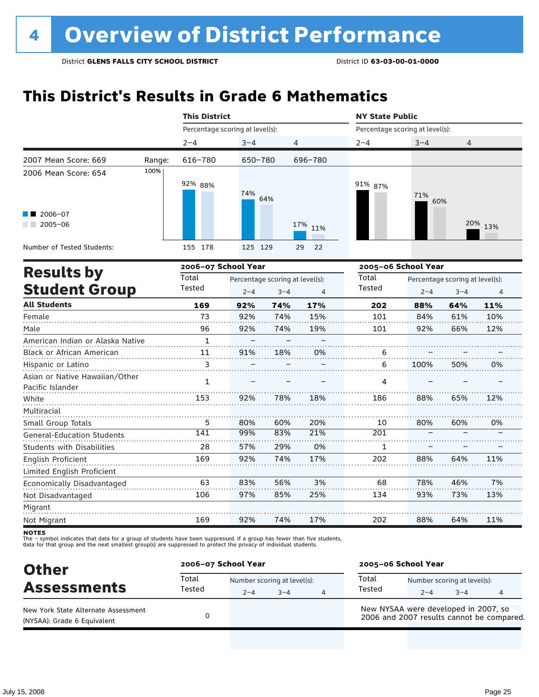### **This District's Results in Grade 6 Mathematics**

|                                                                                                                                                                         | <b>This District</b> |                                 |            |         | <b>NY State Public</b>          |            |  |  |  |
|-------------------------------------------------------------------------------------------------------------------------------------------------------------------------|----------------------|---------------------------------|------------|---------|---------------------------------|------------|--|--|--|
|                                                                                                                                                                         |                      |                                 |            |         | Percentage scoring at level(s): |            |  |  |  |
|                                                                                                                                                                         | $2 - 4$              | $3 - 4$                         | 4          | $2 - 4$ | $3 - 4$                         | 4          |  |  |  |
| Percentage scoring at level(s):<br>2007 Mean Score: 669<br>616-780<br>Range:<br>100%<br>2006 Mean Score: 654<br>92% 88%<br>74%<br>$\blacksquare$ 2006-07<br>$2005 - 06$ | 650-780              | 696-780                         |            |         |                                 |            |  |  |  |
|                                                                                                                                                                         |                      | 64%                             | 17%<br>11% | 91% 87% | 71%<br>60%                      | 20%<br>13% |  |  |  |
| Number of Tested Students:                                                                                                                                              | 178<br>155           | 125 129                         | 22<br>29   |         |                                 |            |  |  |  |
|                                                                                                                                                                         |                      | 2006-07 School Year             |            |         | 2005-06 School Year             |            |  |  |  |
| <b>Results by</b>                                                                                                                                                       | Total                | Percentage scoring at levells). |            | Total   | Dercentage scoring at levells). |            |  |  |  |

| <b>Results by</b>                 | Total        |         | Percentage scoring at level(s): |     | Total  |         | Percentage scoring at level(s): |     |
|-----------------------------------|--------------|---------|---------------------------------|-----|--------|---------|---------------------------------|-----|
| <b>Student Group</b>              | Tested       | $2 - 4$ | $3 - 4$                         | 4   | Tested | $2 - 4$ | $3 - 4$                         | 4   |
| <b>All Students</b>               | 169          | 92%     | 74%                             | 17% | 202    | 88%     | 64%                             | 11% |
| Female                            | 73           | 92%     | 74%                             | 15% | 101    | 84%     | 61%                             | 10% |
| Male                              | 96           | 92%     | 74%                             | 19% | 101    | 92%     | 66%                             | 12% |
| American Indian or Alaska Native  | $\mathbf{1}$ |         |                                 |     |        |         |                                 |     |
| <b>Black or African American</b>  | 11           | 91%     | 18%                             | 0%  | 6      |         |                                 |     |
| Hispanic or Latino                | 3            |         |                                 |     | 6      | 100%    | 50%                             | 0%  |
| Asian or Native Hawaiian/Other    | 1            |         |                                 |     | 4      |         |                                 |     |
| Pacific Islander                  |              |         |                                 |     |        |         |                                 |     |
| White                             | 153          | 92%     | 78%                             | 18% | 186    | 88%     | 65%                             | 12% |
| Multiracial                       |              |         |                                 |     |        |         |                                 |     |
| Small Group Totals                | 5            | 80%     | 60%                             | 20% | 10     | 80%     | 60%                             | 0%  |
| <b>General-Education Students</b> | 141          | 99%     | 83%                             | 21% | 201    |         |                                 |     |
| <b>Students with Disabilities</b> | 28           | 57%     | 29%                             | 0%  | 1      |         |                                 |     |
| English Proficient                | 169          | 92%     | 74%                             | 17% | 202    | 88%     | 64%                             | 11% |
| Limited English Proficient        |              |         |                                 |     |        |         |                                 |     |
| Economically Disadvantaged        | 63           | 83%     | 56%                             | 3%  | 68     | 78%     | 46%                             | 7%  |
| Not Disadvantaged                 | 106          | 97%     | 85%                             | 25% | 134    | 93%     | 73%                             | 13% |
| Migrant                           |              |         |                                 |     |        |         |                                 |     |
| Not Migrant                       | 169          | 92%     | 74%                             | 17% | 202    | 88%     | 64%                             | 11% |

**NOTES** 

| <b>Other</b>                                                       | 2006-07 School Year |                             |         | 2005-06 School Year                                                               |                             |         |   |  |
|--------------------------------------------------------------------|---------------------|-----------------------------|---------|-----------------------------------------------------------------------------------|-----------------------------|---------|---|--|
| <b>Assessments</b>                                                 | Total<br>Tested     | Number scoring at level(s): |         | Total                                                                             | Number scoring at level(s): |         |   |  |
|                                                                    |                     | $2 - 4$                     | $3 - 4$ | Tested                                                                            | $2 - 4$                     | $3 - 4$ | 4 |  |
| New York State Alternate Assessment<br>(NYSAA): Grade 6 Equivalent |                     |                             |         | New NYSAA were developed in 2007, so<br>2006 and 2007 results cannot be compared. |                             |         |   |  |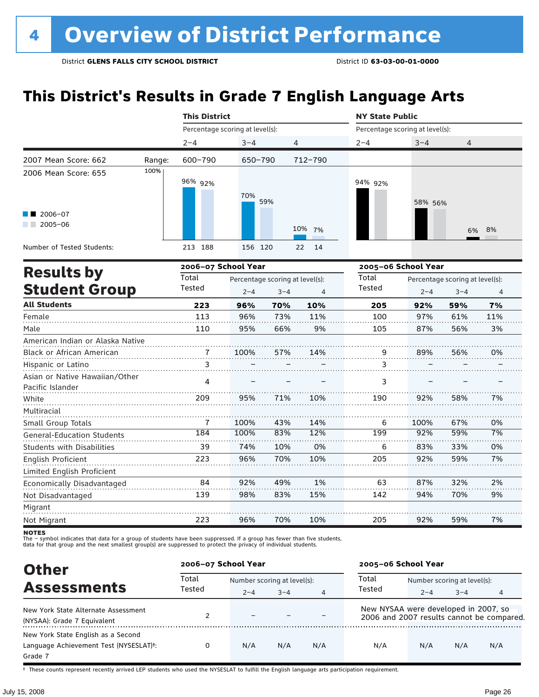### **This District's Results in Grade 7 English Language Arts**

|                                       |        | <b>This District</b>            |                                 |         |          |                                 | <b>NY State Public</b>          |         |     |  |  |  |
|---------------------------------------|--------|---------------------------------|---------------------------------|---------|----------|---------------------------------|---------------------------------|---------|-----|--|--|--|
|                                       |        | Percentage scoring at level(s): |                                 |         |          | Percentage scoring at level(s): |                                 |         |     |  |  |  |
|                                       |        | $2 - 4$                         | $3 - 4$                         | 4       |          | $2 - 4$                         | $3 - 4$                         | 4       |     |  |  |  |
| 2007 Mean Score: 662                  | Range: | 600-790                         | 650-790                         |         | 712-790  |                                 |                                 |         |     |  |  |  |
| 2006 Mean Score: 655                  | 100%   | 96% 92%                         | 70%                             | 59%     |          | 94% 92%                         | 58% 56%                         |         |     |  |  |  |
| $\blacksquare$ 2006-07<br>$2005 - 06$ |        |                                 |                                 |         | 10% 7%   |                                 |                                 | 6%      | 8%  |  |  |  |
| Number of Tested Students:            |        | 213 188                         | 156 120                         |         | 22<br>14 |                                 |                                 |         |     |  |  |  |
|                                       |        | 2006-07 School Year             |                                 |         |          |                                 | 2005-06 School Year             |         |     |  |  |  |
| <b>Results by</b>                     |        | Total                           | Percentage scoring at level(s): |         |          | Total                           | Percentage scoring at level(s): |         |     |  |  |  |
| <b>Student Group</b>                  |        | Tested                          | $2 - 4$                         | $3 - 4$ | 4        | Tested                          | $2 - 4$                         | $3 - 4$ | 4   |  |  |  |
| <b>All Students</b>                   |        | 223                             | 96%                             | 70%     | 10%      | 205                             | 92%                             | 59%     | 7%  |  |  |  |
| Female                                |        | 113                             | 96%                             | 73%     | 11%      | 100                             | 97%                             | 61%     | 11% |  |  |  |
| Male                                  |        | 110                             | 95%                             | 66%     | 9%       | 105                             | 87%                             | 56%     | 3%  |  |  |  |
| American Indian or Alaska Native      |        |                                 |                                 |         |          |                                 |                                 |         |     |  |  |  |
| Black or African American             |        | $\overline{7}$                  | 100%                            | 57%     | 14%      | 9                               | 89%                             | 56%     | 0%  |  |  |  |
| Hispanic or Latino                    |        | 3                               |                                 |         |          | 3                               |                                 |         |     |  |  |  |
| Acian or Notive Hausijan (Other       |        |                                 |                                 |         |          |                                 |                                 |         |     |  |  |  |

| 209 | 95%  | 71% | 10% | 190 | 92%  | 58% | 7% |
|-----|------|-----|-----|-----|------|-----|----|
|     |      |     |     |     |      |     |    |
|     | 100% | 43% | 14% | 6   | 100% | 67% | 0% |
| 184 | 100% | 83% | 12% | 199 | 92%  | 59% | 7% |
| 39  | 74%  | 10% | 0%  | 6   | 83%  | 33% | 0% |
| 223 | 96%  | 70% | 10% | 205 | 92%  | 59% | 7% |
|     |      |     |     |     |      |     |    |
| 84  | 92%  | 49% | 1%  | 63  | 87%  | 32% | 2% |
| 139 | 98%  | 83% | 15% | 142 | 94%  | 70% | 9% |
|     |      |     |     |     |      |     |    |
| 223 | 96%  | 70% | 10% | 205 | 92%  | 59% | 7% |
|     | 4    |     |     |     | 3    |     |    |

**NOTES** 

The – symbol indicates that data for a group of students have been suppressed. If a group has fewer than five students,<br>data for that group and the next smallest group(s) are suppressed to protect the privacy of individual

| <b>Other</b>                                                                                         | 2006-07 School Year |                             |         |     | 2005-06 School Year                  |                             |         |                                           |
|------------------------------------------------------------------------------------------------------|---------------------|-----------------------------|---------|-----|--------------------------------------|-----------------------------|---------|-------------------------------------------|
| <b>Assessments</b>                                                                                   | Total               | Number scoring at level(s): |         |     | Total                                | Number scoring at level(s): |         |                                           |
|                                                                                                      | Tested              | $2 - 4$                     | $3 - 4$ | 4   | Tested                               | $2 - 4$                     | $3 - 4$ |                                           |
| New York State Alternate Assessment<br>(NYSAA): Grade 7 Equivalent                                   |                     | $\overline{\phantom{0}}$    |         |     | New NYSAA were developed in 2007, so |                             |         | 2006 and 2007 results cannot be compared. |
| New York State English as a Second<br>Language Achievement Test (NYSESLAT) <sup>+</sup> :<br>Grade 7 |                     | N/A                         | N/A     | N/A | N/A                                  | N/A                         | N/A     | N/A                                       |

† These counts represent recently arrived LEP students who used the NYSESLAT to fulfill the English language arts participation requirement.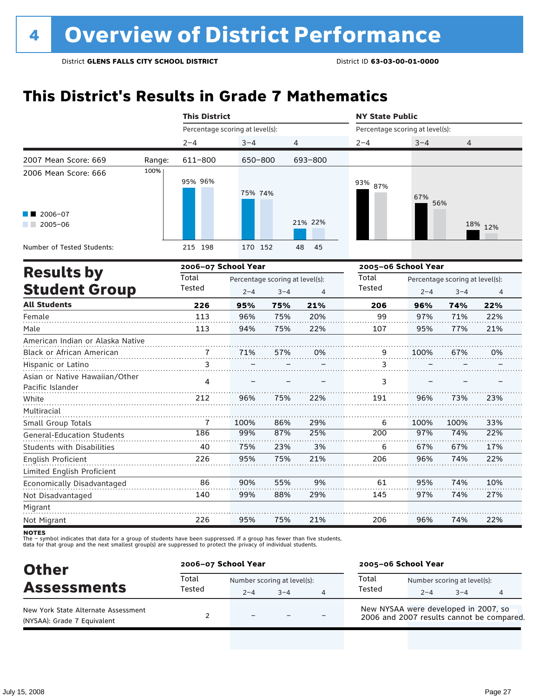### **This District's Results in Grade 7 Mathematics**

|                                                    |        | <b>This District</b>                                                                                                                                                                                                                                                                                                                                                                                                                                                                                                                                                                                                                                                                                                                                                                                                                                                 |         |    | <b>NY State Public</b> |         |      |         |
|----------------------------------------------------|--------|----------------------------------------------------------------------------------------------------------------------------------------------------------------------------------------------------------------------------------------------------------------------------------------------------------------------------------------------------------------------------------------------------------------------------------------------------------------------------------------------------------------------------------------------------------------------------------------------------------------------------------------------------------------------------------------------------------------------------------------------------------------------------------------------------------------------------------------------------------------------|---------|----|------------------------|---------|------|---------|
|                                                    |        |                                                                                                                                                                                                                                                                                                                                                                                                                                                                                                                                                                                                                                                                                                                                                                                                                                                                      |         |    |                        |         |      |         |
|                                                    |        | $2 - 4$                                                                                                                                                                                                                                                                                                                                                                                                                                                                                                                                                                                                                                                                                                                                                                                                                                                              | $3 - 4$ |    | $2 - 4$                | $3 - 4$ | 4    |         |
| 2007 Mean Score: 669                               | Range: | 611-800                                                                                                                                                                                                                                                                                                                                                                                                                                                                                                                                                                                                                                                                                                                                                                                                                                                              |         |    |                        |         |      |         |
| 2006 Mean Score: 666                               | 100%   | 95% 96%                                                                                                                                                                                                                                                                                                                                                                                                                                                                                                                                                                                                                                                                                                                                                                                                                                                              |         |    | 93% 87%                | 67%     |      |         |
| $\blacksquare$ 2006-07<br>$2005 - 06$              |        |                                                                                                                                                                                                                                                                                                                                                                                                                                                                                                                                                                                                                                                                                                                                                                                                                                                                      |         |    |                        |         |      | 18% 12% |
| Number of Tested Students:                         |        | 215 198                                                                                                                                                                                                                                                                                                                                                                                                                                                                                                                                                                                                                                                                                                                                                                                                                                                              |         | 45 |                        |         |      |         |
|                                                    |        |                                                                                                                                                                                                                                                                                                                                                                                                                                                                                                                                                                                                                                                                                                                                                                                                                                                                      |         |    |                        |         |      |         |
| <b>Results by</b>                                  |        | Total                                                                                                                                                                                                                                                                                                                                                                                                                                                                                                                                                                                                                                                                                                                                                                                                                                                                |         |    | Total                  |         |      |         |
| <b>Student Group</b>                               |        | Percentage scoring at level(s):<br>Percentage scoring at level(s):<br>4<br>650-800<br>693-800<br>75% 74%<br>56%<br>21% 22%<br>170 152<br>48<br>2006-07 School Year<br>2005-06 School Year<br>Percentage scoring at level(s):<br>Percentage scoring at level(s):<br>Tested<br>Tested<br>$2 - 4$<br>$3 - 4$<br>$\overline{4}$<br>$2 - 4$<br>226<br>95%<br>75%<br>21%<br>206<br>96%<br>113<br>96%<br>75%<br>20%<br>99<br>97%<br>75%<br>22%<br>113<br>94%<br>107<br>95%<br>71%<br>57%<br>0%<br>9<br>100%<br>7<br>3<br>3<br>4<br>3<br>22%<br>212<br>96%<br>75%<br>191<br>96%<br>7<br>100%<br>86%<br>29%<br>100%<br>6<br>97%<br>186<br>99%<br>87%<br>25%<br>200<br>40<br>75%<br>23%<br>3%<br>67%<br>6<br>226<br>95%<br>75%<br>21%<br>206<br>96%<br>86<br>9%<br>61<br>95%<br>90%<br>55%<br>97%<br>140<br>99%<br>88%<br>29%<br>145<br>21%<br>226<br>95%<br>75%<br>206<br>96% | $3 - 4$ | 4  |                        |         |      |         |
| <b>All Students</b>                                |        |                                                                                                                                                                                                                                                                                                                                                                                                                                                                                                                                                                                                                                                                                                                                                                                                                                                                      |         |    |                        |         | 74%  | 22%     |
| Female                                             |        |                                                                                                                                                                                                                                                                                                                                                                                                                                                                                                                                                                                                                                                                                                                                                                                                                                                                      |         |    |                        |         | 71%  | 22%     |
| Male                                               |        |                                                                                                                                                                                                                                                                                                                                                                                                                                                                                                                                                                                                                                                                                                                                                                                                                                                                      |         |    |                        |         | 77%  | 21%     |
| American Indian or Alaska Native                   |        |                                                                                                                                                                                                                                                                                                                                                                                                                                                                                                                                                                                                                                                                                                                                                                                                                                                                      |         |    |                        |         |      |         |
| Black or African American                          |        |                                                                                                                                                                                                                                                                                                                                                                                                                                                                                                                                                                                                                                                                                                                                                                                                                                                                      |         |    |                        |         | 67%  | 0%      |
| Hispanic or Latino                                 |        |                                                                                                                                                                                                                                                                                                                                                                                                                                                                                                                                                                                                                                                                                                                                                                                                                                                                      |         |    |                        |         |      |         |
| Asian or Native Hawaiian/Other<br>Pacific Islander |        |                                                                                                                                                                                                                                                                                                                                                                                                                                                                                                                                                                                                                                                                                                                                                                                                                                                                      |         |    |                        |         |      |         |
| White                                              |        |                                                                                                                                                                                                                                                                                                                                                                                                                                                                                                                                                                                                                                                                                                                                                                                                                                                                      |         |    |                        |         | 73%  | 23%     |
| Multiracial                                        |        |                                                                                                                                                                                                                                                                                                                                                                                                                                                                                                                                                                                                                                                                                                                                                                                                                                                                      |         |    |                        |         |      |         |
| Small Group Totals                                 |        |                                                                                                                                                                                                                                                                                                                                                                                                                                                                                                                                                                                                                                                                                                                                                                                                                                                                      |         |    |                        |         | 100% | 33%     |
| <b>General-Education Students</b>                  |        |                                                                                                                                                                                                                                                                                                                                                                                                                                                                                                                                                                                                                                                                                                                                                                                                                                                                      |         |    |                        |         | 74%  | 22%     |
| Students with Disabilities                         |        |                                                                                                                                                                                                                                                                                                                                                                                                                                                                                                                                                                                                                                                                                                                                                                                                                                                                      |         |    |                        |         | 67%  | 17%     |
| English Proficient<br>Limited English Proficient   |        |                                                                                                                                                                                                                                                                                                                                                                                                                                                                                                                                                                                                                                                                                                                                                                                                                                                                      |         |    |                        |         | 74%  | 22%     |
| Economically Disadvantaged                         |        |                                                                                                                                                                                                                                                                                                                                                                                                                                                                                                                                                                                                                                                                                                                                                                                                                                                                      |         |    |                        |         | 74%  | 10%     |
| Not Disadvantaged                                  |        |                                                                                                                                                                                                                                                                                                                                                                                                                                                                                                                                                                                                                                                                                                                                                                                                                                                                      |         |    |                        |         | 74%  | 27%     |
| Migrant                                            |        |                                                                                                                                                                                                                                                                                                                                                                                                                                                                                                                                                                                                                                                                                                                                                                                                                                                                      |         |    |                        |         |      |         |
| Not Migrant                                        |        |                                                                                                                                                                                                                                                                                                                                                                                                                                                                                                                                                                                                                                                                                                                                                                                                                                                                      |         |    |                        |         | 74%  | 22%     |

**NOTES** 

| <b>Other</b>                                                       | 2006-07 School Year |                                        |         |   | 2005-06 School Year                                                               |         |                                        |   |  |
|--------------------------------------------------------------------|---------------------|----------------------------------------|---------|---|-----------------------------------------------------------------------------------|---------|----------------------------------------|---|--|
| <b>Assessments</b>                                                 | Total<br>Tested     | Number scoring at level(s):<br>$2 - 4$ | $3 - 4$ | 4 | Total<br>Tested                                                                   | $2 - 4$ | Number scoring at level(s):<br>$3 - 4$ | 4 |  |
| New York State Alternate Assessment<br>(NYSAA): Grade 7 Equivalent |                     | -                                      |         |   | New NYSAA were developed in 2007, so<br>2006 and 2007 results cannot be compared. |         |                                        |   |  |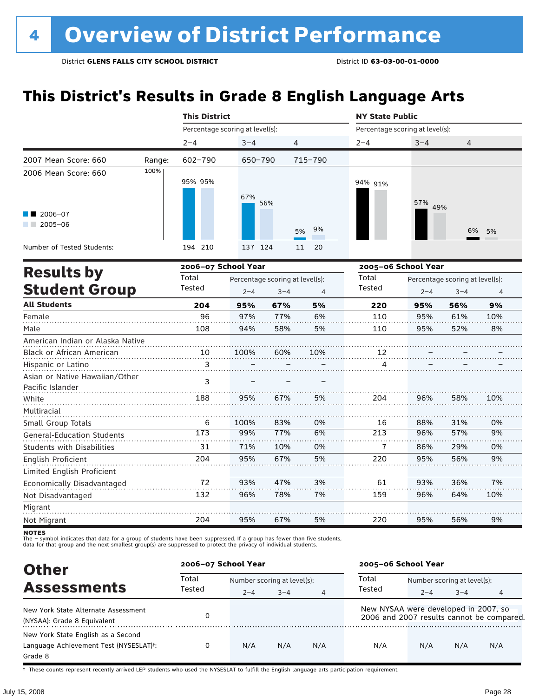### **This District's Results in Grade 8 English Language Arts**

|                                                    |        | <b>This District</b>            |                     |                                 |          | <b>NY State Public</b>          |                                 |         |                |  |
|----------------------------------------------------|--------|---------------------------------|---------------------|---------------------------------|----------|---------------------------------|---------------------------------|---------|----------------|--|
|                                                    |        | Percentage scoring at level(s): |                     |                                 |          | Percentage scoring at level(s): |                                 |         |                |  |
|                                                    |        | $2 - 4$                         | $3 - 4$             | 4                               |          | $2 - 4$                         | $3 - 4$                         | 4       |                |  |
| 2007 Mean Score: 660                               | Range: | $602 - 790$                     | 650-790             |                                 | 715-790  |                                 |                                 |         |                |  |
| 2006 Mean Score: 660                               | 100%   | 95% 95%                         | 67%                 | 56%                             |          | 94% 91%                         | 57% 49%                         |         |                |  |
| 2006-07<br>$2005 - 06$                             |        |                                 |                     |                                 | 9%<br>5% |                                 |                                 | 6%      | 5%             |  |
| Number of Tested Students:                         |        | 194 210                         | 137 124             |                                 | 11<br>20 |                                 |                                 |         |                |  |
|                                                    |        |                                 | 2006-07 School Year |                                 |          |                                 | 2005-06 School Year             |         |                |  |
| <b>Results by</b>                                  |        | Total                           |                     | Percentage scoring at level(s): |          | Total                           | Percentage scoring at level(s): |         |                |  |
| <b>Student Group</b>                               |        | Tested                          | $2 - 4$             | $3 - 4$                         | 4        | Tested                          | $2 - 4$                         | $3 - 4$ | $\overline{4}$ |  |
| <b>All Students</b>                                |        | 204                             | 95%                 | 67%                             | 5%       | 220                             | 95%                             | 56%     | 9%             |  |
| Female                                             |        | 96                              | 97%                 | 77%                             | 6%       | 110                             | 95%                             | 61%     | 10%            |  |
| Male                                               |        | 108                             | 94%                 | 58%                             | 5%       | 110                             | 95%                             | 52%     | 8%             |  |
| American Indian or Alaska Native                   |        |                                 |                     |                                 |          |                                 |                                 |         |                |  |
| Black or African American                          |        | 10                              | 100%                | 60%                             | 10%      | 12                              |                                 |         |                |  |
| Hispanic or Latino                                 |        | 3                               |                     |                                 |          | 4                               |                                 |         |                |  |
| Asian or Native Hawaiian/Other<br>Pacific Islander |        | 3                               |                     |                                 |          |                                 |                                 |         |                |  |
| White                                              |        | 188                             | 95%                 | 67%                             | 5%       | 204                             | 96%                             | 58%     | 10%            |  |
| Multiracial                                        |        |                                 |                     |                                 |          |                                 |                                 |         |                |  |
| Small Group Totals                                 |        | 6                               | 100%                | 83%                             | 0%       | 16                              | 88%                             | 31%     | 0%             |  |
| <b>General-Education Students</b>                  |        | 173                             | 99%                 | 77%                             | 6%       | $\overline{213}$                | 96%                             | 57%     | 9%             |  |
| <b>Students with Disabilities</b>                  |        | 31                              | 71%                 | 10%                             | 0%       | 7                               | 86%                             | 29%     | 0%             |  |
| English Proficient                                 |        | 204                             | 95%                 | 67%                             | 5%       | 220                             | 95%                             | 56%     | 9%             |  |
| Limited English Proficient                         |        |                                 |                     |                                 |          |                                 |                                 |         |                |  |
| Economically Disadvantaged                         |        | 72                              | 93%                 | 47%                             | 3%       | 61                              | 93%                             | 36%     | 7%             |  |
| Not Disadvantaged                                  |        | 132                             | 96%                 | 78%                             | 7%       | 159                             | 96%                             | 64%     | 10%            |  |
| Migrant                                            |        |                                 |                     |                                 |          |                                 |                                 |         |                |  |
| Not Migrant                                        |        | 204                             | 95%                 | 67%                             | 5%       | 220                             | 95%                             | 56%     | 9%             |  |

**NOTES** 

The – symbol indicates that data for a group of students have been suppressed. If a group has fewer than five students,<br>data for that group and the next smallest group(s) are suppressed to protect the privacy of individual

| <b>Other</b>                                        | 2006-07 School Year |                             |         |                | 2005-06 School Year                       |                             |         |     |
|-----------------------------------------------------|---------------------|-----------------------------|---------|----------------|-------------------------------------------|-----------------------------|---------|-----|
| <b>Assessments</b>                                  | Total               | Number scoring at level(s): |         |                | Total                                     | Number scoring at level(s): |         |     |
|                                                     | Tested              | $2 - 4$                     | $3 - 4$ | $\overline{4}$ | Tested                                    | $2 - 4$                     | $3 - 4$ | 4   |
| New York State Alternate Assessment                 |                     |                             |         |                | New NYSAA were developed in 2007, so      |                             |         |     |
| (NYSAA): Grade 8 Equivalent                         |                     |                             |         |                | 2006 and 2007 results cannot be compared. |                             |         |     |
| New York State English as a Second                  |                     |                             |         |                |                                           |                             |         |     |
| Language Achievement Test (NYSESLAT) <sup>+</sup> : |                     | N/A                         | N/A     | N/A            | N/A                                       | N/A                         | N/A     | N/A |
| Grade 8                                             |                     |                             |         |                |                                           |                             |         |     |

† These counts represent recently arrived LEP students who used the NYSESLAT to fulfill the English language arts participation requirement.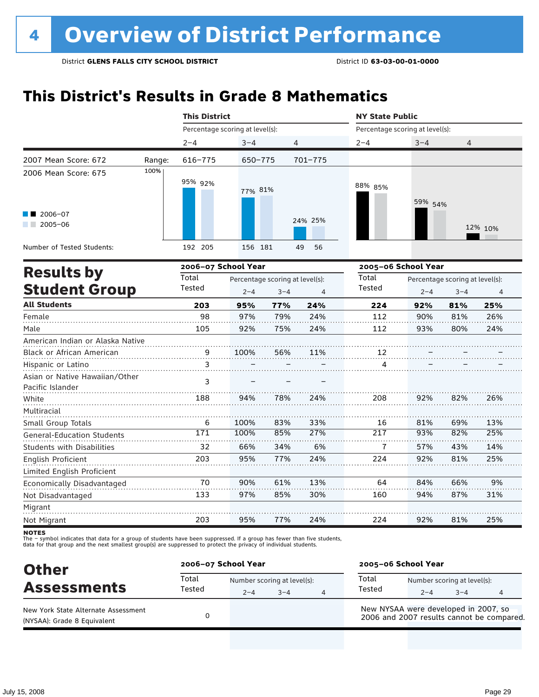### **This District's Results in Grade 8 Mathematics**

|                                                    |        | <b>This District</b>            |                     |                                 |                       | <b>NY State Public</b>          |                     |                                 |                       |  |
|----------------------------------------------------|--------|---------------------------------|---------------------|---------------------------------|-----------------------|---------------------------------|---------------------|---------------------------------|-----------------------|--|
|                                                    |        | Percentage scoring at level(s): |                     |                                 |                       | Percentage scoring at level(s): |                     |                                 |                       |  |
|                                                    |        | $2 - 4$                         | $3 - 4$             | 4                               |                       | $2 - 4$                         | $3 - 4$             | $\overline{4}$                  |                       |  |
| 2007 Mean Score: 672                               | Range: | 616-775                         | 650-775             |                                 | $701 - 775$           |                                 |                     |                                 |                       |  |
| 2006 Mean Score: 675                               | 100%   | 95% 92%                         | 77% 81%             |                                 |                       | 88% 85%                         | 59% 54%             |                                 |                       |  |
| 2006-07<br>$2005 - 06$<br>a sa ta                  |        |                                 |                     |                                 | 24% 25%               |                                 |                     |                                 | 12% 10%               |  |
| Number of Tested Students:                         |        | 192 205                         | 156 181             |                                 | 49<br>56              |                                 |                     |                                 |                       |  |
|                                                    |        |                                 | 2006-07 School Year |                                 |                       |                                 | 2005-06 School Year |                                 |                       |  |
| <b>Results by</b><br><b>Student Group</b>          |        | Total<br>Tested                 |                     | Percentage scoring at level(s): |                       |                                 |                     | Percentage scoring at level(s): |                       |  |
| <b>All Students</b>                                |        | 203                             | $2 - 4$<br>95%      | $3 - 4$<br>77%                  | $\overline{4}$<br>24% | 224                             | $2 - 4$<br>92%      | $3 - 4$<br>81%                  | $\overline{4}$<br>25% |  |
| Female                                             |        | 98                              | 97%                 | 79%                             | 24%                   | 112                             | 90%                 | 81%                             | 26%                   |  |
| Male                                               |        | 105                             | 92%                 | 75%                             | 24%                   | 112                             | 93%                 | 80%                             | 24%                   |  |
| American Indian or Alaska Native                   |        |                                 |                     |                                 |                       |                                 |                     |                                 |                       |  |
| Black or African American                          |        | 9                               | 100%                | 56%                             | 11%                   | 12                              |                     |                                 |                       |  |
| Hispanic or Latino                                 |        | 3                               |                     |                                 |                       | 4                               |                     |                                 |                       |  |
| Asian or Native Hawaiian/Other<br>Pacific Islander |        | 3                               |                     |                                 |                       |                                 |                     |                                 |                       |  |
| White                                              |        | 188                             | 94%                 | 78%                             | 24%                   | 208                             | 92%                 | 82%                             | 26%                   |  |
| Multiracial                                        |        |                                 |                     |                                 |                       |                                 |                     |                                 |                       |  |
| Small Group Totals                                 |        | 6                               | 100%                | 83%                             | 33%                   | 16                              | 81%                 | 69%                             | 13%                   |  |
| General-Education Students                         |        | 171                             | 100%                | 85%                             | 27%                   | 217                             | 93%                 | 82%                             | 25%                   |  |
| <b>Students with Disabilities</b>                  |        | 32                              | 66%                 | 34%                             | 6%                    | 7                               | 57%                 | 43%                             | 14%                   |  |
| English Proficient                                 |        | 203                             | 95%                 | 77%                             | 24%                   | 224                             | 92%                 | 81%                             | 25%                   |  |
| Limited English Proficient                         |        |                                 |                     |                                 |                       |                                 |                     |                                 |                       |  |
| Economically Disadvantaged                         |        | 70                              | 90%                 | 61%                             | 13%                   | 64                              | 84%                 | 66%                             | 9%                    |  |
| Not Disadvantaged                                  |        | 133                             | 97%                 | 85%                             | 30%                   | 160                             | 94%                 | 87%                             | 31%                   |  |
| Migrant                                            |        |                                 |                     |                                 |                       |                                 |                     |                                 |                       |  |
| Not Migrant                                        |        | 203                             | 95%                 | 77%                             | 24%                   | 224                             | 92%                 | 81%                             | 25%                   |  |

**NOTES** 

| <b>Other</b>                                                       | 2006-07 School Year |         |                                        |   | 2005-06 School Year                                                               |         |                                        |   |  |
|--------------------------------------------------------------------|---------------------|---------|----------------------------------------|---|-----------------------------------------------------------------------------------|---------|----------------------------------------|---|--|
| <b>Assessments</b>                                                 | Total<br>Tested     | $2 - 4$ | Number scoring at level(s):<br>$3 - 4$ | 4 | Total<br>Tested                                                                   | $2 - 4$ | Number scoring at level(s):<br>$3 - 4$ | 4 |  |
| New York State Alternate Assessment<br>(NYSAA): Grade 8 Equivalent |                     |         |                                        |   | New NYSAA were developed in 2007, so<br>2006 and 2007 results cannot be compared. |         |                                        |   |  |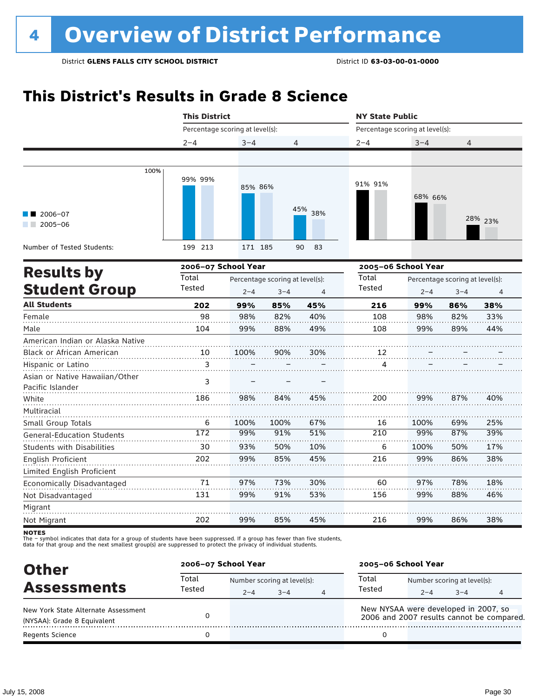### **This District's Results in Grade 8 Science**

|                                                    | <b>This District</b>            |                                                        |            |                | <b>NY State Public</b>          |                     |                                 |            |  |
|----------------------------------------------------|---------------------------------|--------------------------------------------------------|------------|----------------|---------------------------------|---------------------|---------------------------------|------------|--|
|                                                    | Percentage scoring at level(s): |                                                        |            |                | Percentage scoring at level(s): |                     |                                 |            |  |
|                                                    | $2 - 4$                         | $3 - 4$                                                | 4          |                | $2 - 4$                         | $3 - 4$             | 4                               |            |  |
|                                                    |                                 |                                                        |            |                |                                 |                     |                                 |            |  |
| 100%                                               | 99% 99%                         | 85% 86%                                                |            |                | 91% 91%                         | 68% 66%             |                                 |            |  |
| 2006-07<br>$12005 - 06$                            |                                 |                                                        |            | 45% 38%        |                                 |                     |                                 | 28% 23%    |  |
| Number of Tested Students:                         | 199 213                         | 171 185                                                |            | 90<br>83       |                                 |                     |                                 |            |  |
| <b>Results by</b>                                  |                                 | 2006-07 School Year<br>Percentage scoring at level(s): |            |                |                                 | 2005-06 School Year |                                 |            |  |
|                                                    | Total                           |                                                        |            |                | Total                           |                     | Percentage scoring at level(s): |            |  |
| <b>Student Group</b>                               | Tested                          | $2 - 4$                                                | $3 - 4$    | $\overline{4}$ | Tested                          | $2 - 4$             | $3 - 4$                         | 4          |  |
| <b>All Students</b>                                | 202                             | 99%                                                    | 85%        | 45%            | 216                             | 99%                 | 86%                             | 38%        |  |
| Female<br>Male                                     | 98<br>104                       | 98%<br>99%                                             | 82%<br>88% | 40%<br>49%     | 108<br>108                      | 98%<br>99%          | 82%<br>89%                      | 33%<br>44% |  |
| American Indian or Alaska Native                   |                                 |                                                        |            |                |                                 |                     |                                 |            |  |
| Black or African American                          | 10                              | 100%                                                   | 90%        | 30%            | 12                              |                     |                                 |            |  |
| Hispanic or Latino                                 | $\overline{3}$                  |                                                        |            |                | $\frac{4}{1}$                   |                     |                                 |            |  |
| Asian or Native Hawaiian/Other<br>Pacific Islander | 3                               |                                                        |            |                |                                 |                     |                                 |            |  |
| White                                              | 186                             | 98%                                                    | 84%        | 45%            | 200                             | 99%                 | 87%                             | 40%        |  |
| Multiracial                                        |                                 |                                                        |            |                |                                 |                     |                                 |            |  |
| Small Group Totals                                 | 6                               | 100%                                                   | 100%       | 67%            | 16                              | 100%                | 69%                             | 25%        |  |
| <b>General-Education Students</b>                  | 172                             | 99%                                                    | 91%        | 51%            | 210                             | 99%                 | 87%                             | 39%        |  |
| <b>Students with Disabilities</b>                  | 30                              | 93%                                                    | 50%        | 10%            | 6                               | 100%                | 50%                             | 17%        |  |
| English Proficient<br>Limited English Proficient   | 202                             | 99%                                                    | 85%        | 45%            | 216                             | 99%                 | 86%                             | 38%        |  |
| Economically Disadvantaged                         | 71                              | 97%                                                    | 73%        | 30%            | 60                              | 97%                 | 78%                             | 18%        |  |
| Not Disadvantaged                                  | 131                             | 99%                                                    | 91%        | 53%            | 156                             | 99%                 | 88%                             | 46%        |  |
| Migrant                                            |                                 |                                                        |            |                |                                 |                     |                                 |            |  |
| Not Migrant                                        | 202                             | 99%                                                    | 85%        | 45%            | 216                             | 99%                 | 86%                             | 38%        |  |
|                                                    |                                 |                                                        |            |                |                                 |                     |                                 |            |  |

notes

| <b>Other</b>                        | 2006-07 School Year |                             |         |                                                                                   | 2005-06 School Year |                             |         |  |  |
|-------------------------------------|---------------------|-----------------------------|---------|-----------------------------------------------------------------------------------|---------------------|-----------------------------|---------|--|--|
| <b>Assessments</b>                  | Total<br>Tested     | Number scoring at level(s): |         |                                                                                   | Total               | Number scoring at level(s): |         |  |  |
|                                     |                     | $2 - 4$                     | $3 - 4$ | 4                                                                                 | Tested              | $2 - 4$                     | $3 - 4$ |  |  |
| New York State Alternate Assessment |                     |                             |         | New NYSAA were developed in 2007, so<br>2006 and 2007 results cannot be compared. |                     |                             |         |  |  |
| (NYSAA): Grade 8 Equivalent         |                     |                             |         |                                                                                   |                     |                             |         |  |  |
| <b>Regents Science</b>              |                     |                             |         |                                                                                   |                     |                             |         |  |  |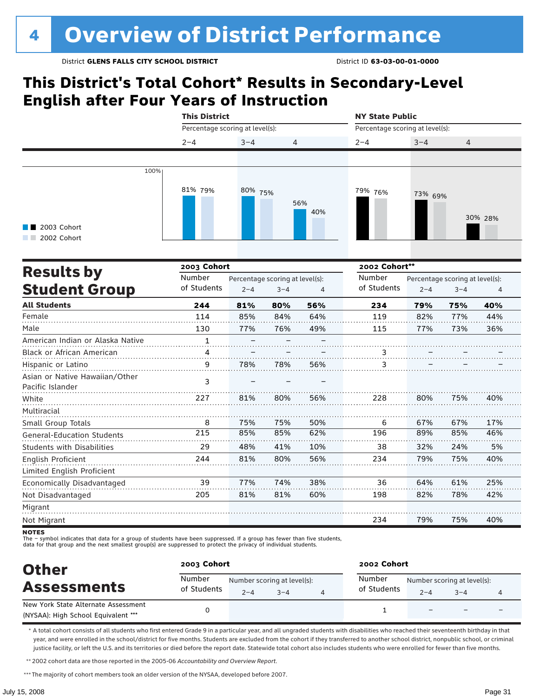### **This District's Total Cohort\* Results in Secondary-Level English after Four Years of Instruction**

|                                   |                                 | <b>This District</b>            |         |                |                                 |         | <b>NY State Public</b>          |         |  |  |  |
|-----------------------------------|---------------------------------|---------------------------------|---------|----------------|---------------------------------|---------|---------------------------------|---------|--|--|--|
|                                   | Percentage scoring at level(s): |                                 |         |                | Percentage scoring at level(s): |         |                                 |         |  |  |  |
|                                   | $2 - 4$                         | $3 - 4$                         | 4       |                | $2 - 4$                         | $3 - 4$ | 4                               |         |  |  |  |
|                                   |                                 |                                 |         |                |                                 |         |                                 |         |  |  |  |
| 100%                              |                                 |                                 |         |                |                                 |         |                                 |         |  |  |  |
|                                   |                                 |                                 |         |                |                                 |         |                                 |         |  |  |  |
|                                   | 81% 79%                         | 80% 75%                         |         |                | 79% 76%                         | 73% 69% |                                 |         |  |  |  |
|                                   |                                 |                                 |         | 56%<br>40%     |                                 |         |                                 |         |  |  |  |
|                                   |                                 |                                 |         |                |                                 |         |                                 | 30% 28% |  |  |  |
| 2003 Cohort<br>2002 Cohort        |                                 |                                 |         |                |                                 |         |                                 |         |  |  |  |
|                                   |                                 |                                 |         |                |                                 |         |                                 |         |  |  |  |
|                                   | 2003 Cohort                     |                                 |         |                | 2002 Cohort**                   |         |                                 |         |  |  |  |
| <b>Results by</b>                 | Number                          | Percentage scoring at level(s): |         |                | Number                          |         | Percentage scoring at level(s): |         |  |  |  |
| <b>Student Group</b>              | of Students                     | $2 - 4$                         | $3 - 4$ | $\overline{4}$ | of Students                     | $2 - 4$ | $3 - 4$                         | 4       |  |  |  |
| <b>All Students</b>               | 244                             | 81%                             | 80%     | 56%            | 234                             | 79%     | 75%                             | 40%     |  |  |  |
| Female                            | 114                             | 85%                             | 84%     | 64%            | 119                             | 82%     | 77%                             | 44%     |  |  |  |
| Male                              | 130                             | 77%                             | 76%     | 49%            | 115                             | 77%     | 73%                             | 36%     |  |  |  |
| American Indian or Alaska Native  | $\mathbf{1}$                    |                                 |         |                |                                 |         |                                 |         |  |  |  |
| Black or African American         | 4                               |                                 |         |                | 3                               |         |                                 |         |  |  |  |
| Hispanic or Latino                | 9                               | 78%                             | 78%     | 56%            | 3                               |         |                                 |         |  |  |  |
| Asian or Native Hawaiian/Other    | 3                               |                                 |         |                |                                 |         |                                 |         |  |  |  |
| Pacific Islander                  |                                 |                                 |         |                |                                 |         |                                 |         |  |  |  |
| White                             | 227                             | 81%                             | 80%     | 56%            | 228                             | 80%     | 75%                             | 40%     |  |  |  |
| Multiracial                       |                                 |                                 |         |                |                                 |         |                                 |         |  |  |  |
| Small Group Totals                | 8                               | 75%                             | 75%     | 50%            | 6                               | 67%     | 67%                             | 17%     |  |  |  |
| <b>General-Education Students</b> | 215                             | 85%                             | 85%     | 62%            | 196                             | 89%     | 85%                             | 46%     |  |  |  |
| <b>Students with Disabilities</b> | 29                              | 48%                             | 41%     | 10%            | 38                              | 32%     | 24%                             | 5%      |  |  |  |
| English Proficient                | 244                             | 81%                             | 80%     | 56%            | 234                             | 79%     | 75%                             | 40%     |  |  |  |
| Limited English Proficient        |                                 |                                 |         |                |                                 |         |                                 |         |  |  |  |
| Economically Disadvantaged        | 39                              | 77%                             | 74%     | 38%            | 36                              | 64%     | 61%                             | 25%     |  |  |  |
| Not Disadvantaged                 | 205                             | 81%                             | 81%     | 60%            | 198                             | 82%     | 78%                             | 42%     |  |  |  |
| Migrant                           |                                 |                                 |         |                |                                 |         |                                 |         |  |  |  |
| Not Migrant                       |                                 |                                 |         |                | 234                             | 79%     | 75%                             | 40%     |  |  |  |
|                                   |                                 |                                 |         |                |                                 |         |                                 |         |  |  |  |

NOTES<br>The – symbol indicates that data for a group of students have been suppressed. If a group has fewer than five students,<br>data for that group and the next smallest group(s) are suppressed to protect the privacy of indi

| <b>Other</b>                                                               | 2003 Cohort           |                                        | 2002 Cohort |  |                       |                                        |                          |  |
|----------------------------------------------------------------------------|-----------------------|----------------------------------------|-------------|--|-----------------------|----------------------------------------|--------------------------|--|
| <b>Assessments</b>                                                         | Number<br>of Students | Number scoring at level(s):<br>$2 - 4$ | $3 - 4$     |  | Number<br>of Students | Number scoring at level(s):<br>$2 - 4$ | $3 - 4$                  |  |
| New York State Alternate Assessment<br>(NYSAA): High School Equivalent *** |                       |                                        |             |  |                       | $\overline{\phantom{0}}$               | $\overline{\phantom{0}}$ |  |

\* A total cohort consists of all students who first entered Grade 9 in a particular year, and all ungraded students with disabilities who reached their seventeenth birthday in that year, and were enrolled in the school/district for five months. Students are excluded from the cohort if they transferred to another school district, nonpublic school, or criminal justice facility, or left the U.S. and its territories or died before the report date. Statewide total cohort also includes students who were enrolled for fewer than five months.

\*\*2002 cohort data are those reported in the 2005-06 *Accountability and Overview Report*.

\*\*\* The majority of cohort members took an older version of the NYSAA, developed before 2007.